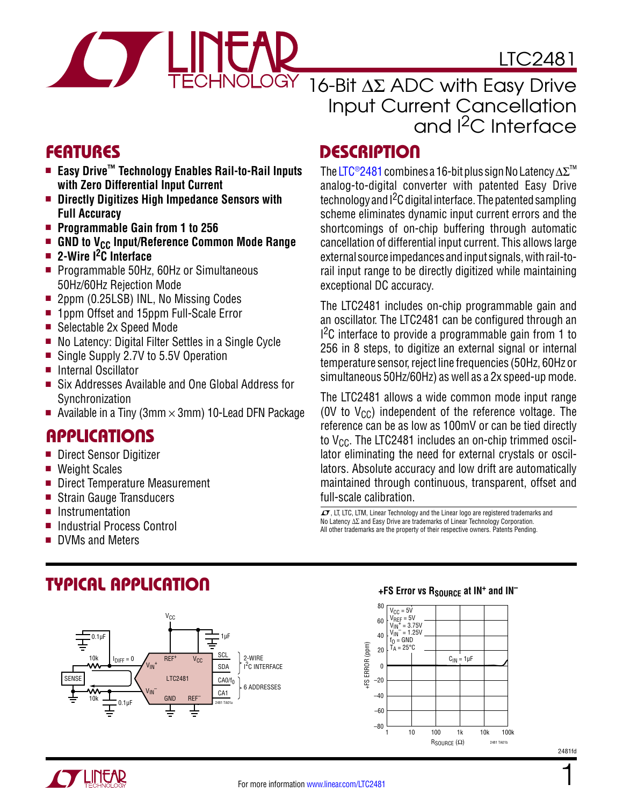

LTC2481

16-Bit ∆Σ ADC with Easy Drive Input Current Cancellation and I<sup>2</sup>C Interface

> The [LTC®2481](http://www.linear.com/LTC2481) combines a 16-bit plus sign No Latency ∆Σ™ analog-to-digital converter with patented Easy Drive technology and  $1<sup>2</sup>C$  digital interface. The patented sampling scheme eliminates dynamic input current errors and the shortcomings of on-chip buffering through automatic cancellation of differential input current. This allows large external source impedances and input signals, with rail-torail input range to be directly digitized while maintaining

> The LTC2481 includes on-chip programmable gain and an oscillator. The LTC2481 can be configured through an <sup>2</sup>C interface to provide a programmable gain from 1 to 256 in 8 steps, to digitize an external signal or internal temperature sensor, reject line frequencies (50Hz, 60Hz or simultaneous 50Hz/60Hz) as well as a 2x speed-up mode. The LTC2481 allows a wide common mode input range (0V to  $V_{CC}$ ) independent of the reference voltage. The reference can be as low as 100mV or can be tied directly to  $V_{CC}$ . The LTC2481 includes an on-chip trimmed oscillator eliminating the need for external crystals or oscillators. Absolute accuracy and low drift are automatically maintained through continuous, transparent, offset and

exceptional DC accuracy.

full-scale calibration.

### Features Description

- Easy Drive<sup>™</sup> Technology Enables Rail-to-Rail Inputs **with Zero Differential Input Current**
- Directly Digitizes High Impedance Sensors with **Full Accuracy**
- Programmable Gain from 1 to 256
- **Example 1 GND to V<sub>CC</sub> Input/Reference Common Mode Range**
- **n** 2-Wire <sup>2</sup>C Interface
- Programmable 50Hz, 60Hz or Simultaneous 50Hz/60Hz Rejection Mode
- 2ppm (0.25LSB) INL, No Missing Codes
- 1ppm Offset and 15ppm Full-Scale Error
- Selectable 2x Speed Mode
- $\blacksquare$  No Latency: Digital Filter Settles in a Single Cycle
- Single Supply 2.7V to 5.5V Operation
- Internal Oscillator
- Six Addresses Available and One Global Address for **Synchronization**
- Available in a Tiny (3mm  $\times$  3mm) 10-Lead DFN Package

### Applications

- Direct Sensor Digitizer
- $\blacksquare$  Weight Scales
- Direct Temperature Measurement

Typical Application

- Strain Gauge Transducers
- **n** Instrumentation
- Industrial Process Control
- DVMs and Meters

 $\sqrt{J}$ , LT, LTC, LTM, Linear Technology and the Linear logo are registered trademarks and No Latency ∆∑ and Easy Drive are trademarks of Linear Technology Corporation. All other trademarks are the property of their respective owners. Patents Pending.







2481fd

1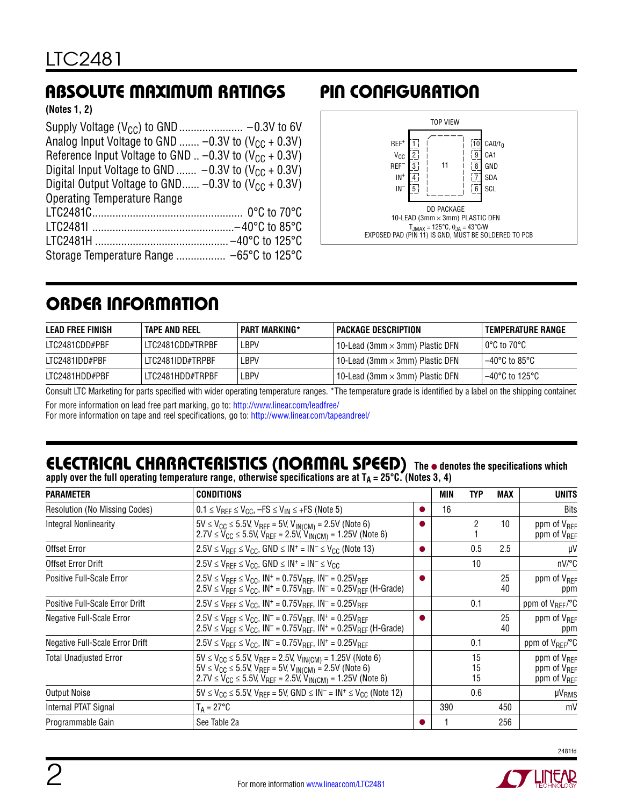### Absolute Maximum Ratings Pin Configuration

**(Notes 1, 2)**

| Analog Input Voltage to GND $-0.3V$ to (V <sub>CC</sub> + 0.3V)          |
|--------------------------------------------------------------------------|
| Reference Input Voltage to GND $\dots$ -0.3V to (V <sub>CC</sub> + 0.3V) |
| Digital Input Voltage to GND $-0.3V$ to (V <sub>CC</sub> + 0.3V)         |
| Digital Output Voltage to GND -0.3V to $(V_{CC} + 0.3V)$                 |
| <b>Operating Temperature Range</b>                                       |
|                                                                          |
|                                                                          |
|                                                                          |
|                                                                          |



### Order Information

| LEAD FREE FINISH | TAPE AND REEL    | <b>PART MARKING*</b> | I PACKAGE DESCRIPTION                       | I TEMPERATURE RANGE |
|------------------|------------------|----------------------|---------------------------------------------|---------------------|
| LTC2481CDD#PBF   | LTC2481CDD#TRPBF | LBPV                 | 10-Lead (3mm $\times$ 3mm) Plastic DFN $\,$ | l 0°C to 70°C       |
| LTC2481IDD#PBF   | LTC2481IDD#TRPBF | LBPV                 | 10-Lead (3mm $\times$ 3mm) Plastic DFN $\,$ | l –40°C to 85°C l   |
| LTC2481HDD#PBF   | LTC2481HDD#TRPBF | LBPV                 | 10-Lead (3mm $\times$ 3mm) Plastic DFN      | l –40°C to 125°C    |

Consult LTC Marketing for parts specified with wider operating temperature ranges. \*The temperature grade is identified by a label on the shipping container.

For more information on lead free part marking, go to: http://www.linear.com/leadfree/

For more information on tape and reel specifications, go to: http://www.linear.com/tapeandreel/

#### **The** l **denotes the specifications which**  apply over the full operating temperature range, otherwise specifications are at T<sub>A</sub> = 25°C. (Notes 3, 4) Electrical Characteristics (Normal Speed)

| <b>PARAMETER</b>                     | <b>CONDITIONS</b>                                                                                                                                                                                                                        | MIN | TYP            | MAX      | <b>UNITS</b>                                                                  |
|--------------------------------------|------------------------------------------------------------------------------------------------------------------------------------------------------------------------------------------------------------------------------------------|-----|----------------|----------|-------------------------------------------------------------------------------|
| <b>Resolution (No Missing Codes)</b> | $0.1 \leq V_{REF} \leq V_{CC}$ , $-FS \leq V_{IN} \leq +FS$ (Note 5)                                                                                                                                                                     | 16  |                |          | <b>Bits</b>                                                                   |
| Integral Nonlinearity                | $5V \le V_{CC} \le 5.5V$ , $V_{REF} = 5V$ , $V_{IN(CM)} = 2.5V$ (Note 6)<br>$2.7V \le V_{CC} \le 5.5V$ , $V_{REF} = 2.5V$ , $V_{IN(CM)} = 1.25V$ (Note 6)                                                                                |     | 2              | 10       | ppm of V <sub>RFF</sub><br>ppm of V <sub>REF</sub>                            |
| Offset Error                         | $2.5V \leq V_{REF} \leq V_{CC}$ , GND $\leq IN^{+} = IN^{-} \leq V_{CC}$ (Note 13)                                                                                                                                                       |     | 0.5            | 2.5      | μV                                                                            |
| Offset Error Drift                   | $2.5V \leq V_{REF} \leq V_{CC}$ , GND $\leq IN^{+} = IN^{-} \leq V_{CC}$                                                                                                                                                                 |     | 10             |          | nV/°C                                                                         |
| Positive Full-Scale Error            | $2.5V \le V_{BFF} \le V_{CC}$ , $IN^+ = 0.75V_{BFF}$ , $IN^- = 0.25V_{BFF}$<br>$2.5V \le V_{RFF} \le V_{CC}$ , IN <sup>+</sup> = 0.75V <sub>RFF</sub> , IN <sup>-</sup> = 0.25V <sub>RFF</sub> (H-Grade)                                 |     |                | 25<br>40 | ppm of V <sub>REF</sub><br>ppm                                                |
| Positive Full-Scale Error Drift      | $2.5V \le V_{REF} \le V_{CC}$ , $IN^+ = 0.75V_{REF}$ , $IN^- = 0.25V_{REF}$                                                                                                                                                              |     | 0.1            |          | ppm of V <sub>REF</sub> /°C                                                   |
| Negative Full-Scale Error            | $2.5V \leq V_{RFF} \leq V_{CC}$ , $IN^- = 0.75V_{RFF}$ , $IN^+ = 0.25V_{RFF}$<br>2.5V ≤ V <sub>REF</sub> ≤ V <sub>CC</sub> , IN <sup>-</sup> = 0.75V <sub>REF</sub> , IN <sup>+</sup> = 0.25V <sub>REF</sub> (H-Grade)                   |     |                | 25<br>40 | ppm of V <sub>REF</sub><br>ppm                                                |
| Negative Full-Scale Error Drift      | $2.5V \leq V_{RFF} \leq V_{CC}$ , $IN^- = 0.75V_{RFF}$ , $IN^+ = 0.25V_{RFF}$                                                                                                                                                            |     | 0.1            |          | ppm of V <sub>REF</sub> /°C                                                   |
| <b>Total Unadjusted Error</b>        | $5V \le V_{CC} \le 5.5V$ , $V_{REF} = 2.5V$ , $V_{IN(CM)} = 1.25V$ (Note 6)<br>$5V \le V_{CC} \le 5.5V$ , $V_{REF} = 5V$ , $V_{IN(CM)} = 2.5V$ (Note 6)<br>$2.7V \le V_{CC} \le 5.5V$ , $V_{REF} = 2.5V$ , $V_{IN(CM)} = 1.25V$ (Note 6) |     | 15<br>15<br>15 |          | ppm of V <sub>RFF</sub><br>ppm of V <sub>RFF</sub><br>ppm of V <sub>REF</sub> |
| <b>Output Noise</b>                  | $5V \le V_{CC} \le 5.5V$ , $V_{REF} = 5V$ , $GND \le IN^{-} = IN^{+} \le V_{CC}$ (Note 12)                                                                                                                                               |     | 0.6            |          | µV <sub>RMS</sub>                                                             |
| Internal PTAT Signal                 | $T_A = 27^{\circ}C$                                                                                                                                                                                                                      | 390 |                | 450      | mV                                                                            |
| Programmable Gain                    | See Table 2a                                                                                                                                                                                                                             |     |                | 256      |                                                                               |

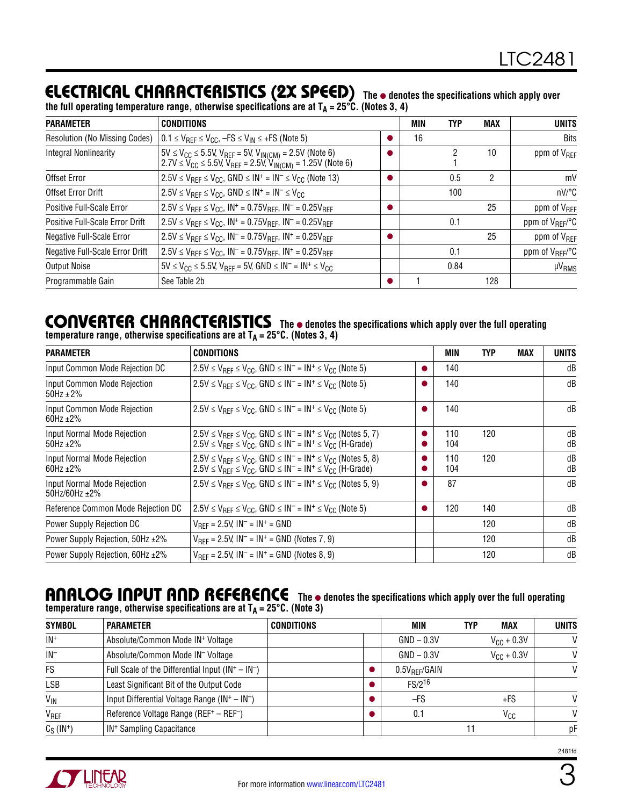### **ELECTRICAL CHARACTERISTICS (2X SPEED)** The  $\bullet$  denotes the specifications which apply over

| the full operating temperature range, otherwise specifications are at T <sub>A</sub> = 25°C. (Notes 3, 4) |  |
|-----------------------------------------------------------------------------------------------------------|--|
|                                                                                                           |  |

| <b>PARAMETER</b>                       | <b>CONDITIONS</b>                                                                                                                                                                          | MIN | <b>TYP</b> | <b>MAX</b> | <b>UNITS</b>                |
|----------------------------------------|--------------------------------------------------------------------------------------------------------------------------------------------------------------------------------------------|-----|------------|------------|-----------------------------|
| <b>Resolution (No Missing Codes)</b>   | $0.1 \leq V_{REF} \leq V_{CC}$ , $-FS \leq V_{IN} \leq +FS$ (Note 5)                                                                                                                       | 16  |            |            | <b>Bits</b>                 |
| <b>Integral Nonlinearity</b>           | $ 5V \leq V_{CC} \leq 5.5V$ , V <sub>REF</sub> = 5V, V <sub>IN(CM)</sub> = 2.5V (Note 6)<br>  2.7V ≤ V <sub>CC</sub> ≤ 5.5V, V <sub>REF</sub> = 2.5V, V <sub>IN(CM)</sub> = 1.25V (Note 6) |     |            | 10         | ppm of V <sub>REF</sub>     |
| Offset Error                           | $2.5V \leq V_{\text{RFF}} \leq V_{\text{CC}}$ , GND $\leq$ IN <sup>+</sup> = IN <sup>-</sup> $\leq$ V <sub>CC</sub> (Note 13)                                                              |     | 0.5        | 2          | mV                          |
| Offset Error Drift                     | $2.5V \leq V_{BFF} \leq V_{CC}$ , GND $\leq IN^{+} = IN^{-} \leq V_{CC}$                                                                                                                   |     | 100        |            | nV/°C                       |
| Positive Full-Scale Error              | $2.5V \le V_{BFF} \le V_{CC}$ , $IN^+ = 0.75V_{BFF}$ , $IN^- = 0.25V_{BFF}$                                                                                                                |     |            | 25         | ppm of V <sub>RFF</sub>     |
| Positive Full-Scale Error Drift        | $2.5V \le V_{REF} \le V_{CC}$ , $IN^+ = 0.75V_{REF}$ , $IN^- = 0.25V_{REF}$                                                                                                                |     | 0.1        |            | ppm of V <sub>REF</sub> /°C |
| <b>Negative Full-Scale Error</b>       | $2.5V \leq V_{BFF} \leq V_{CC}$ , $IN^{-} = 0.75V_{BFF}$ , $IN^{+} = 0.25V_{BFF}$                                                                                                          |     |            | 25         | ppm of V <sub>RFF</sub>     |
| <b>Negative Full-Scale Error Drift</b> | $V_{REF} \le V_{GCE}$ , $N^-$ = 0.75V <sub>REF</sub> , $N^+$ = 0.25V <sub>RFF</sub>                                                                                                        |     | 0.1        |            | ppm of V <sub>RFF</sub> /°C |
| <b>Output Noise</b>                    | $5V \le V_{CC} \le 5.5V$ , $V_{REF} = 5V$ , $GND \le IN^- = IN^+ \le V_{CC}$                                                                                                               |     | 0.84       |            | <b>µVRMS</b>                |
| Programmable Gain                      | See Table 2b                                                                                                                                                                               |     |            | 128        |                             |

#### CONVERTER CHARACTERISTICS The  $\bullet$  denotes the specifications which apply over the full operating temperature range, otherwise specifications are at T<sub>A</sub> = 25°C. (Notes 3, 4)

| <b>PARAMETER</b>                                     | <b>CONDITIONS</b>                                                                                                                                                                                        | MIN        | <b>TYP</b> | MAX | UNITS    |
|------------------------------------------------------|----------------------------------------------------------------------------------------------------------------------------------------------------------------------------------------------------------|------------|------------|-----|----------|
| Input Common Mode Rejection DC                       | $2.5V \leq V_{RFF} \leq V_{CC}$ , GND $\leq$ IN <sup>-</sup> = IN <sup>+</sup> $\leq$ V <sub>CC</sub> (Note 5)                                                                                           | 140        |            |     | dB       |
| Input Common Mode Rejection<br>$50$ Hz $\pm$ 2%      | $2.5V \leq V_{BFF} \leq V_{CC}$ , GND $\leq$ IN <sup>-</sup> = IN <sup>+</sup> $\leq$ V <sub>CC</sub> (Note 5)                                                                                           | 140        |            |     | dB       |
| Input Common Mode Rejection<br>60Hz $\pm 2\%$        | $2.5V \leq V_{RFF} \leq V_{CC}$ , GND $\leq$ IN <sup>-</sup> = IN <sup>+</sup> $\leq$ V <sub>CC</sub> (Note 5)                                                                                           | 140        |            |     | dB       |
| Input Normal Mode Rejection<br>50Hz $±2\%$           | $2.5V \leq V_{REF} \leq V_{CC}$ , GND $\leq$ IN <sup>-</sup> = IN <sup>+</sup> $\leq$ V <sub>CC</sub> (Notes 5, 7)<br>$2.5V \leq V_{RFF} \leq V_{CC}$ , GND $\leq IN^{-} = IN^{+} \leq V_{CC}$ (H-Grade) | 110<br>104 | 120        |     | dB<br>dB |
| Input Normal Mode Rejection<br>60Hz $±2\%$           | $2.5V \leq V_{BFF} \leq V_{CC}$ , GND $\leq IN^{-} = IN^{+} \leq V_{CC}$ (Notes 5, 8)<br>$2.5V \leq V_{BFF} \leq V_{CC}$ , GND $\leq IN^{-} = IN^{+} \leq V_{CC}$ (H-Grade)                              | 110<br>104 | 120        |     | dB<br>dB |
| Input Normal Mode Rejection<br>$50$ Hz/60Hz $\pm$ 2% | $2.5V \leq V_{\text{RFF}} \leq V_{\text{CC}}$ , GND $\leq$ IN <sup>-</sup> = IN <sup>+</sup> $\leq$ V <sub>CC</sub> (Notes 5, 9)                                                                         | 87         |            |     | dB       |
| Reference Common Mode Rejection DC                   | $2.5V \leq V_{RFF} \leq V_{CC}$ , GND $\leq$ IN <sup>-</sup> = IN <sup>+</sup> $\leq$ V <sub>CC</sub> (Note 5)                                                                                           | 120        | 140        |     | dB       |
| Power Supply Rejection DC                            | $V_{BFF}$ = 2.5V, $IN^-$ = $IN^+$ = GND                                                                                                                                                                  |            | 120        |     | dB       |
| Power Supply Rejection, 50Hz ±2%                     | $V_{BFF}$ = 2.5V, $IN^-$ = $IN^+$ = GND (Notes 7, 9)                                                                                                                                                     |            | 120        |     | dB       |
| Power Supply Rejection, 60Hz ±2%                     | $V_{RFF}$ = 2.5V, $IN^-$ = $IN^+$ = GND (Notes 8, 9)                                                                                                                                                     |            | 120        |     | dB       |

#### ANALOG INPUT AND REFERENCE The  $\bullet$  denotes the specifications which apply over the full operating temperature range, otherwise specifications are at T<sub>A</sub> = 25°C. (Note 3)

| <b>SYMBOL</b>    | <b>PARAMETER</b>                                               | <b>CONDITIONS</b> | <b>MIN</b>        | <b>MAX</b><br>TYP      | <b>UNITS</b> |
|------------------|----------------------------------------------------------------|-------------------|-------------------|------------------------|--------------|
| $IN^+$           | Absolute/Common Mode IN <sup>+</sup> Voltage                   |                   | $GND - 0.3V$      | $V_{\text{CC}}$ + 0.3V | $\vee$       |
| $IN^-$           | Absolute/Common Mode IN <sup>-</sup> Voltage                   |                   | $GND - 0.3V$      | $V_{\text{CC}} + 0.3V$ | $\mathsf{V}$ |
| <b>FS</b>        | Full Scale of the Differential Input $(IN^+ - IN^-)$           |                   | $0.5V_{RFF}/GAIN$ |                        | V            |
| <b>LSB</b>       | Least Significant Bit of the Output Code                       |                   | $FS/2^{16}$       |                        |              |
| $V_{\text{IN}}$  | Input Differential Voltage Range ( $IN^+ - IN^-$ )             |                   | -FS               | +FS                    | V            |
| VREF             | Reference Voltage Range (REF <sup>+</sup> - REF <sup>-</sup> ) |                   | 0.1               | V <sub>CC</sub>        | M            |
| $C_S$ ( $IN^+$ ) | IN <sup>+</sup> Sampling Capacitance                           |                   |                   |                        | рF           |

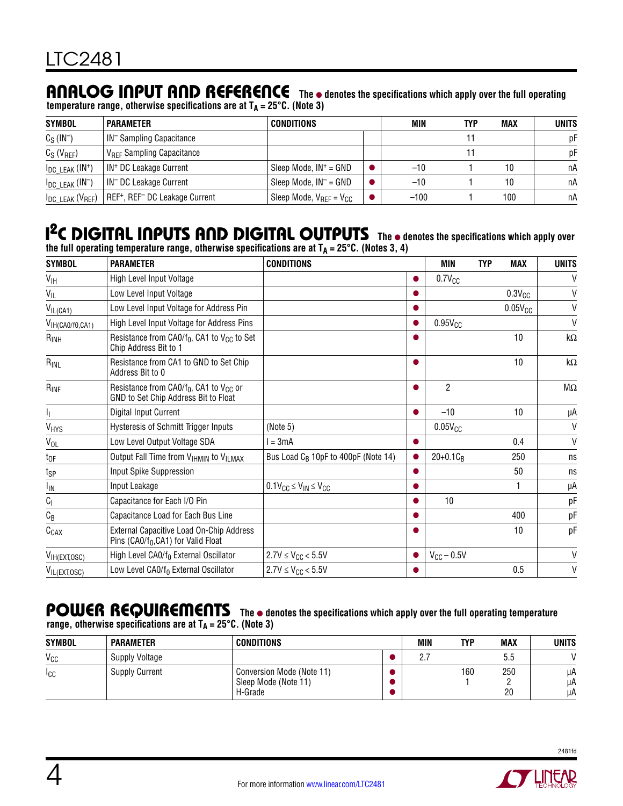# ANALOG INPUT AND REFERENCE The  $\bullet$  denotes the specifications which apply over the full operating

|                                  | temperature range, otherwise specifications are at $T_A = 25^{\circ}$ C. (Note 3)                 |                                |  |        |     |            |              |  |  |  |
|----------------------------------|---------------------------------------------------------------------------------------------------|--------------------------------|--|--------|-----|------------|--------------|--|--|--|
| <b>SYMBOL</b>                    | <b>PARAMETER</b>                                                                                  | <b>CONDITIONS</b>              |  | MIN    | TYP | <b>MAX</b> | <b>UNITS</b> |  |  |  |
| $C_S$ ( $IN^-$ )                 | IN <sup>-</sup> Sampling Capacitance                                                              |                                |  |        |     |            | рF           |  |  |  |
| $C_S$ ( $V_{REF}$ )              | <b>VREF Sampling Capacitance</b>                                                                  |                                |  |        |     |            | рF           |  |  |  |
| $I_{DC LEAK}$ (IN <sup>+</sup> ) | IN <sup>+</sup> DC Leakage Current                                                                | Sleep Mode, $IN^+$ = GND       |  | $-10$  |     | 10         | пA           |  |  |  |
| $I_{DC LEAK}$ ( $IN$ )           | IN <sup>-</sup> DC Leakage Current                                                                | Sleep Mode, $IN^-$ = GND       |  | $-10$  |     | 10         | пA           |  |  |  |
|                                  | I <sub>DC LEAK</sub> (V <sub>REF</sub> )   REF <sup>+</sup> , REF <sup>-</sup> DC Leakage Current | Sleep Mode, $V_{REF} = V_{CC}$ |  | $-100$ |     | 100        | пA           |  |  |  |

### **I<sup>2</sup>C DIGITAL INPUTS AND DIGITAL OUTPUTS** The  $\bullet$  denotes the specifications which apply over the full operating temperature range, otherwise specifications are at T<sub>A</sub> = 25°C. (Notes 3, 4)

| <b>SYMBOL</b>                 | <b>PARAMETER</b>                                                                              | <b>CONDITIONS</b>                               |           | MIN                    | <b>TYP</b> | <b>MAX</b>   | <b>UNITS</b>       |
|-------------------------------|-----------------------------------------------------------------------------------------------|-------------------------------------------------|-----------|------------------------|------------|--------------|--------------------|
| $V_{\text{IH}}$               | High Level Input Voltage                                                                      |                                                 | ●         | $0.7V_{CC}$            |            |              | V                  |
| V <sub>IL</sub>               | Low Level Input Voltage                                                                       |                                                 |           |                        |            | $0.3V_{CC}$  | V                  |
| $V_{IL(CA1)}$                 | Low Level Input Voltage for Address Pin                                                       |                                                 |           |                        |            | $0.05V_{CC}$ | V                  |
| V <sub>IH</sub> (CA0/f0, CA1) | High Level Input Voltage for Address Pins                                                     |                                                 | ●         | $0.95V_{CC}$           |            |              | V                  |
| $R_{INH}$                     | Resistance from $CAO/f_0$ , CA1 to $V_{CC}$ to Set<br>Chip Address Bit to 1                   |                                                 |           |                        |            | 10           | k $\Omega$         |
| RINL                          | Resistance from CA1 to GND to Set Chip<br>Address Bit to 0                                    |                                                 |           |                        |            | 10           | k $\Omega$         |
| $R_{INF}$                     | Resistance from $CAO/f_0$ , CA1 to V <sub>CC</sub> or<br>GND to Set Chip Address Bit to Float |                                                 | ●         | $\overline{2}$         |            |              | $\mathsf{M}\Omega$ |
| h.                            | Digital Input Current                                                                         |                                                 | $\bullet$ | $-10$                  |            | 10           | μA                 |
| VHYS                          | Hysteresis of Schmitt Trigger Inputs                                                          | (Note 5)                                        |           | $0.05V_{CC}$           |            |              | $\mathsf{V}$       |
| V <sub>OL</sub>               | Low Level Output Voltage SDA                                                                  | $l = 3mA$                                       |           |                        |            | 0.4          | $\mathsf{V}$       |
| $t_{OF}$                      | Output Fall Time from VIHMIN to VILMAX                                                        | Bus Load C <sub>B</sub> 10pF to 400pF (Note 14) |           | $20+0.1C_B$            |            | 250          | ns                 |
| t <sub>SP</sub>               | Input Spike Suppression                                                                       |                                                 |           |                        |            | 50           | ns                 |
| <b>I<sub>IN</sub></b>         | Input Leakage                                                                                 | $0.1 V_{CC} \leq V_{IN} \leq V_{CC}$            |           |                        |            | 1            | μA                 |
| $C_{\parallel}$               | Capacitance for Each I/O Pin                                                                  |                                                 |           | 10                     |            |              | pF                 |
| $\mathtt{C}_{\texttt{B}}$     | Capacitance Load for Each Bus Line                                                            |                                                 |           |                        |            | 400          | pF                 |
| $C_{CAX}$                     | External Capacitive Load On-Chip Address<br>Pins (CA0/ $f_0$ ,CA1) for Valid Float            |                                                 | o         |                        |            | 10           | pF                 |
| VIH(EXT, OSC)                 | High Level CA0/f <sub>0</sub> External Oscillator                                             | $2.7V \leq V_{CC} < 5.5V$                       |           | $V_{\text{CC}}$ – 0.5V |            |              | V                  |
| VIL(EXT, OSC)                 | Low Level CA0/f <sub>0</sub> External Oscillator                                              | $2.7V \leq V_{CC} < 5.5V$                       | O         |                        |            | 0.5          | V                  |

#### POWER REQUIREMENTS The  $\bullet$  denotes the specifications which apply over the full operating temperature **range, otherwise specifications are at TA = 25°C. (Note 3)**

| <b>SYMBOL</b>  | <b>PARAMETER</b>      | <b>CONDITIONS</b>                                            | MIN | <b>TYP</b> | <b>MAX</b> | UNITS          |
|----------------|-----------------------|--------------------------------------------------------------|-----|------------|------------|----------------|
| $V_{CC}$       | Supply Voltage        |                                                              | L.  |            | 5.5        |                |
| <sub>ICC</sub> | <b>Supply Current</b> | Conversion Mode (Note 11)<br>Sleep Mode (Note 11)<br>H-Grade |     | 160        | 250<br>20  | μA<br>μA<br>μA |



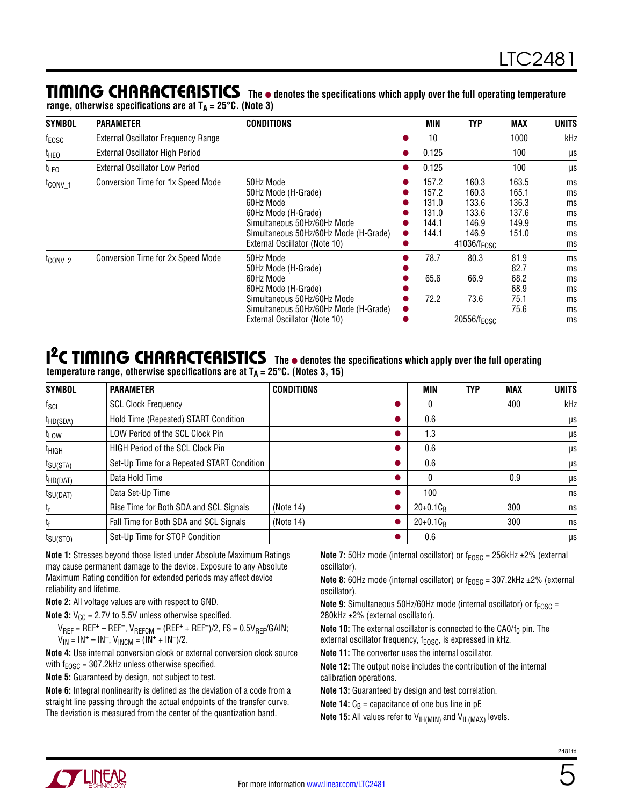#### **TIMING CHARACTERISTICS** The  $\bullet$  denotes the specifications which apply over the full operating temperature range, otherwise specifications are at  $T_A = 25^{\circ}$ C. (Note 3)

| <b>SYMBOL</b>       | <b>PARAMETER</b>                           | <b>CONDITIONS</b>                                                                                                                                                             |                                     | <b>MIN</b>                                         | <b>TYP</b>                                                                    | <b>MAX</b>                                         | <b>UNITS</b>                           |
|---------------------|--------------------------------------------|-------------------------------------------------------------------------------------------------------------------------------------------------------------------------------|-------------------------------------|----------------------------------------------------|-------------------------------------------------------------------------------|----------------------------------------------------|----------------------------------------|
| f <sub>EOSC</sub>   | <b>External Oscillator Frequency Range</b> |                                                                                                                                                                               | $\bullet$                           | 10                                                 |                                                                               | 1000                                               | kHz                                    |
| theo                | External Oscillator High Period            |                                                                                                                                                                               | $\bullet$                           | 0.125                                              |                                                                               | 100                                                | μs                                     |
| t <sub>LEO</sub>    | <b>External Oscillator Low Period</b>      |                                                                                                                                                                               | $\bullet$                           | 0.125                                              |                                                                               | 100                                                | μs                                     |
| t <sub>conv_1</sub> | Conversion Time for 1x Speed Mode          | 50Hz Mode<br>50Hz Mode (H-Grade)<br>60Hz Mode<br>60Hz Mode (H-Grade)<br>Simultaneous 50Hz/60Hz Mode<br>Simultaneous 50Hz/60Hz Mode (H-Grade)<br>External Oscillator (Note 10) | $\bullet$<br>$\bullet$<br>$\bullet$ | 157.2<br>157.2<br>131.0<br>131.0<br>144.1<br>144.1 | 160.3<br>160.3<br>133.6<br>133.6<br>146.9<br>146.9<br>41036/f <sub>EOSC</sub> | 163.5<br>165.1<br>136.3<br>137.6<br>149.9<br>151.0 | ms<br>ms<br>ms<br>ms<br>ms<br>ms<br>ms |
| t <sub>conv2</sub>  | Conversion Time for 2x Speed Mode          | 50Hz Mode<br>50Hz Mode (H-Grade)<br>60Hz Mode<br>60Hz Mode (H-Grade)<br>Simultaneous 50Hz/60Hz Mode<br>Simultaneous 50Hz/60Hz Mode (H-Grade)<br>External Oscillator (Note 10) | $\bullet$                           | 78.7<br>65.6<br>72.2                               | 80.3<br>66.9<br>73.6<br>20556/f <sub>EOSC</sub>                               | 81.9<br>82.7<br>68.2<br>68.9<br>75.1<br>75.6       | ms<br>ms<br>ms<br>ms<br>ms<br>ms<br>ms |

### I<sup>2</sup>C TIMING CHARACTERISTICS The  $\bullet$  denotes the specifications which apply over the full operating temperature range, otherwise specifications are at T<sub>A</sub> = 25°C. (Notes 3, 15)

| <b>SYMBOL</b>        | <b>PARAMETER</b>                           | <b>CONDITIONS</b> | MIN         | TYP | <b>MAX</b> | <b>UNITS</b> |
|----------------------|--------------------------------------------|-------------------|-------------|-----|------------|--------------|
| $f_{SCL}$            | <b>SCL Clock Frequency</b>                 |                   | 0           |     | 400        | kHz          |
| $t_{HD(SDA)}$        | Hold Time (Repeated) START Condition       |                   | 0.6         |     |            | μs           |
| $t_{LOW}$            | LOW Period of the SCL Clock Pin            |                   | 1.3         |     |            | μs           |
| t <sub>HIGH</sub>    | HIGH Period of the SCL Clock Pin           |                   | 0.6         |     |            | μs           |
| $t_{\text{SU(STA)}}$ | Set-Up Time for a Repeated START Condition |                   | 0.6         |     |            | μs           |
| $t_{HD(DAT)}$        | Data Hold Time                             |                   | $\Omega$    |     | 0.9        | μs           |
| $t_{\text{SU(DAT)}}$ | Data Set-Up Time                           |                   | 100         |     |            | ns           |
| $t_{\sf r}$          | Rise Time for Both SDA and SCL Signals     | (Note 14)         | $20+0.1C_B$ |     | 300        | ns           |
| tf                   | Fall Time for Both SDA and SCL Signals     | (Note 14)         | $20+0.1C_B$ |     | 300        | ns           |
| $t_{\text{SU(STO}}$  | Set-Up Time for STOP Condition             |                   | 0.6         |     |            | μs           |

**Note 1:** Stresses beyond those listed under Absolute Maximum Ratings may cause permanent damage to the device. Exposure to any Absolute Maximum Rating condition for extended periods may affect device reliability and lifetime.

**Note 2:** All voltage values are with respect to GND.

**Note 3:**  $V_{CC}$  = 2.7V to 5.5V unless otherwise specified.

 $V_{REF} = REF^+ - REF^-$ ,  $V_{REFCM} = (REF^+ + REF^-)/2$ ,  $FS = 0.5V_{REF}/GAIN$ ;  $V_{IN} = IN^+ - IN^-$ ,  $V_{INCM} = (IN^+ + IN^-)/2$ .

**Note 4:** Use internal conversion clock or external conversion clock source with  $f_{EOSC} = 307.2$ kHz unless otherwise specified.

**Note 5:** Guaranteed by design, not subject to test.

**Note 6:** Integral nonlinearity is defined as the deviation of a code from a straight line passing through the actual endpoints of the transfer curve. The deviation is measured from the center of the quantization band.

**Note 7:** 50Hz mode (internal oscillator) or  $f_{FOSC} = 256$  kHz  $\pm 2\%$  (external oscillator).

**Note 8:** 60Hz mode (internal oscillator) or  $f_{EOSC}$  = 307.2kHz  $\pm$ 2% (external oscillator).

**Note 9:** Simultaneous 50Hz/60Hz mode (internal oscillator) or f<sub>EOSC</sub> = 280kHz ±2% (external oscillator).

**Note 10:** The external oscillator is connected to the CA0/f<sub>0</sub> pin. The external oscillator frequency,  $f_{EOSC}$ , is expressed in kHz.

**Note 11:** The converter uses the internal oscillator.

**Note 12:** The output noise includes the contribution of the internal calibration operations.

**Note 13:** Guaranteed by design and test correlation.

**Note 14:**  $C_B$  = capacitance of one bus line in pF.

**Note 15:** All values refer to V<sub>IH(MIN)</sub> and V<sub>IL(MAX)</sub> levels.



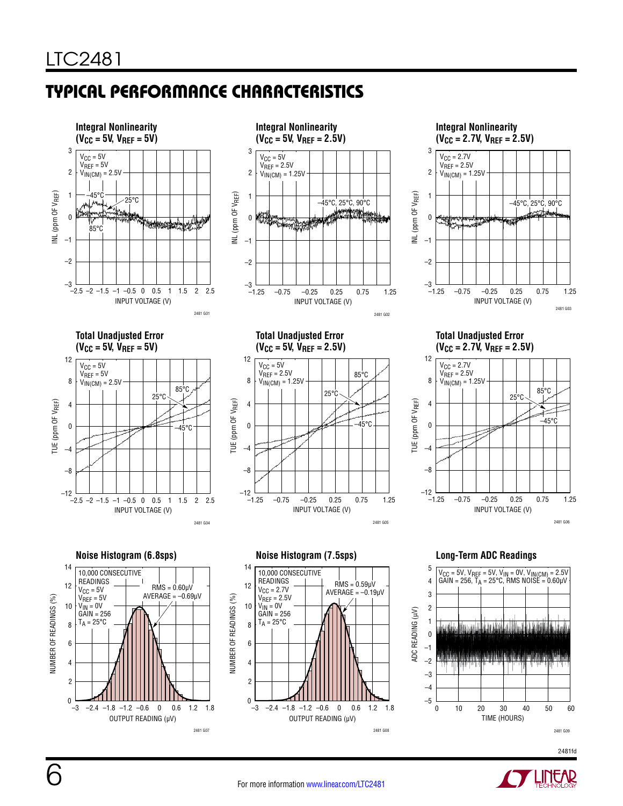



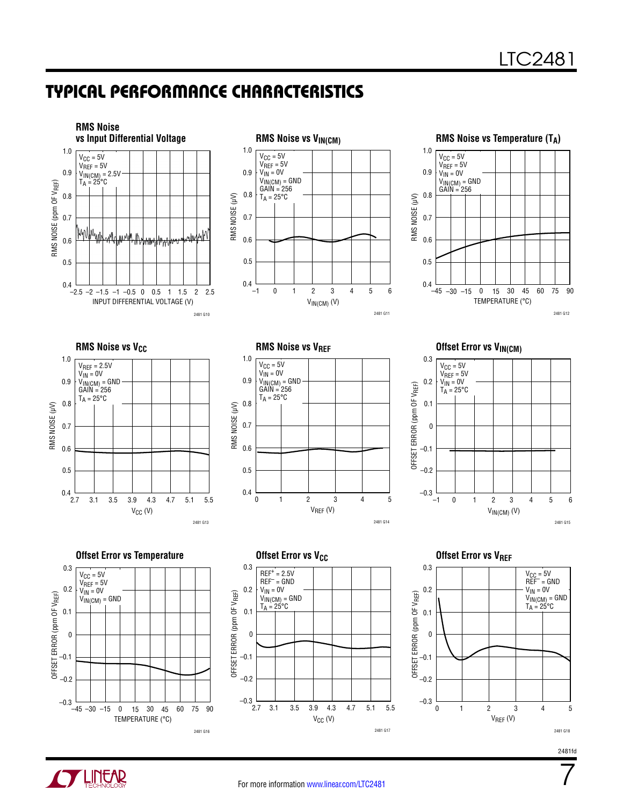

















7

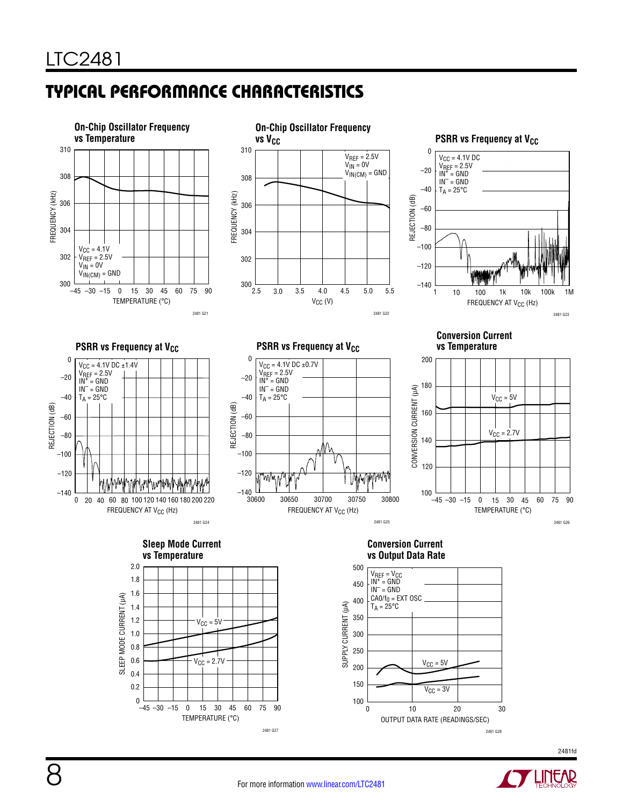

2481 G28



2481 G27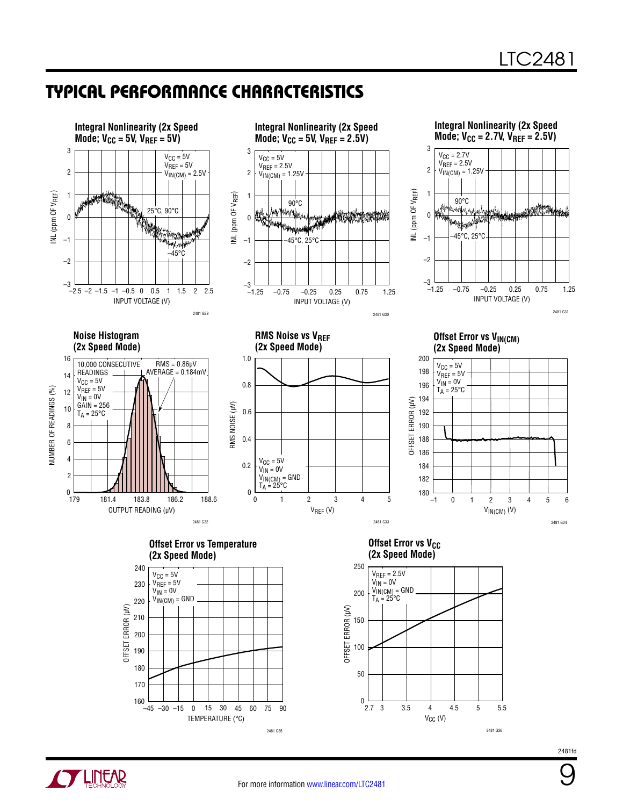

**OF LINEAR** 

2481fd

9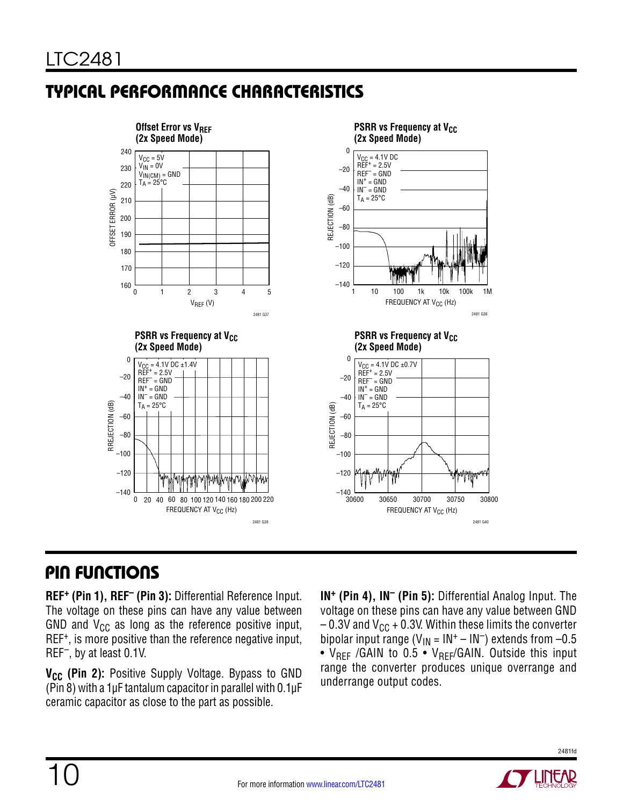

### Pin Functions

**REF+ (Pin 1), REF– (Pin 3):** Differential Reference Input. The voltage on these pins can have any value between GND and  $V_{CC}$  as long as the reference positive input, REF+, is more positive than the reference negative input, REF–, by at least 0.1V.

V<sub>CC</sub> (Pin 2): Positive Supply Voltage. Bypass to GND (Pin 8) with a 1µF tantalum capacitor in parallel with 0.1µF ceramic capacitor as close to the part as possible.

**IN+ (Pin 4), IN– (Pin 5):** Differential Analog Input. The voltage on these pins can have any value between GND  $-0.3V$  and  $V_{\text{CC}}$  + 0.3V. Within these limits the converter bipolar input range ( $V_{IN} = IN^+ - IN^-$ ) extends from -0.5 •  $V_{REF}$  /GAIN to 0.5 •  $V_{REF}$ /GAIN. Outside this input range the converter produces unique overrange and underrange output codes.

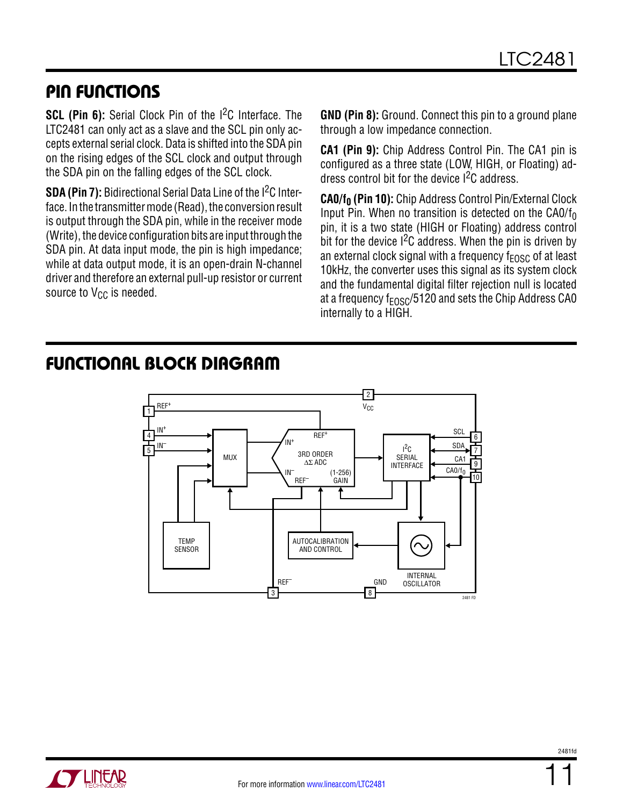### Pin Functions

**SCL (Pin 6):** Serial Clock Pin of the I<sup>2</sup>C Interface. The LTC2481 can only act as a slave and the SCL pin only accepts external serial clock. Data is shifted into the SDA pin on the rising edges of the SCL clock and output through the SDA pin on the falling edges of the SCL clock.

**SDA (Pin 7):** Bidirectional Serial Data Line of the I<sup>2</sup>C Interface. In the transmitter mode (Read), the conversion result is output through the SDA pin, while in the receiver mode (Write), the device configuration bits are input through the SDA pin. At data input mode, the pin is high impedance; while at data output mode, it is an open-drain N-channel driver and therefore an external pull-up resistor or current source to  $V_{CC}$  is needed.

**GND (Pin 8):** Ground. Connect this pin to a ground plane through a low impedance connection.

**CA1 (Pin 9):** Chip Address Control Pin. The CA1 pin is configured as a three state (LOW, HIGH, or Floating) address control bit for the device I2C address.

CA0/f<sub>0</sub> (Pin 10): Chip Address Control Pin/External Clock Input Pin. When no transition is detected on the CA0/ $f_0$ pin, it is a two state (HIGH or Floating) address control bit for the device I<sup>2</sup>C address. When the pin is driven by an external clock signal with a frequency  $f_{FOSC}$  of at least 10kHz, the converter uses this signal as its system clock and the fundamental digital filter rejection null is located at a frequency  $f_{FOSC}/5120$  and sets the Chip Address CA0 internally to a HIGH.

#### 6 7 4 5 9 10 3RD ORDER ∆Σ ADC REF<sup>+</sup> .<br>IN+ IN+  $\mathsf{REF}^+$ in<sup>–</sup><br>\ Ref IN– REF– (1-256) GAIN  $l^2C$ SERIAL INTERFACE TEMP **SENSOR** MUX SCL 2  $V_{\text{CC}}$ 3 REF– 8 GND  $CAO/f<sub>0</sub>$ 2481 FD SDA CA1 AUTOCALIBRATION AND CONTROL INTERNAL **OSCILLATOR**

### Functional Block Diagram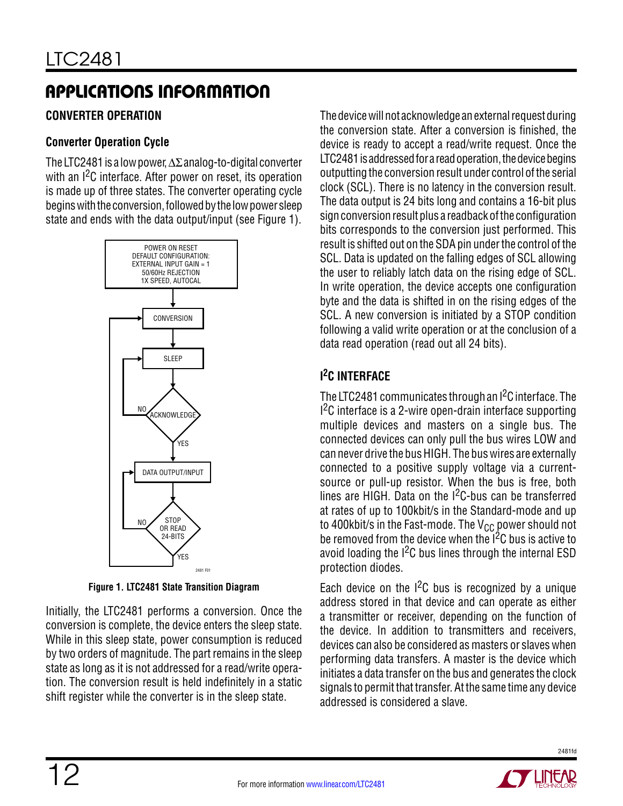#### **Converter Operation**

#### **Converter Operation Cycle**

The LTC2481 is a low power, ∆Σ analog-to-digital converter with an I<sup>2</sup>C interface. After power on reset, its operation is made up of three states. The converter operating cycle begins with the conversion, followed by the low power sleep state and ends with the data output/input (see Figure 1).



**Figure 1. LTC2481 State Transition Diagram**

Initially, the LTC2481 performs a conversion. Once the conversion is complete, the device enters the sleep state. While in this sleep state, power consumption is reduced by two orders of magnitude. The part remains in the sleep state as long as it is not addressed for a read/write operation. The conversion result is held indefinitely in a static shift register while the converter is in the sleep state.

The device will not acknowledge an external request during the conversion state. After a conversion is finished, the device is ready to accept a read/write request. Once the LTC2481 is addressed for a read operation, the device begins outputting the conversion result under control of the serial clock (SCL). There is no latency in the conversion result. The data output is 24 bits long and contains a 16-bit plus sign conversion result plus a readback of the configuration bits corresponds to the conversion just performed. This result is shifted out on the SDA pin under the control of the SCL. Data is updated on the falling edges of SCL allowing the user to reliably latch data on the rising edge of SCL. In write operation, the device accepts one configuration byte and the data is shifted in on the rising edges of the SCL. A new conversion is initiated by a STOP condition following a valid write operation or at the conclusion of a data read operation (read out all 24 bits).

### **I 2C INTERFACE**

The LTC2481 communicates through an I2C interface. The  $1<sup>2</sup>C$  interface is a 2-wire open-drain interface supporting multiple devices and masters on a single bus. The connected devices can only pull the bus wires LOW and can never drive the bus HIGH. The bus wires are externally connected to a positive supply voltage via a currentsource or pull-up resistor. When the bus is free, both lines are HIGH. Data on the  $1<sup>2</sup>C$ -bus can be transferred at rates of up to 100kbit/s in the Standard-mode and up to 400kbit/s in the Fast-mode. The  $V_{CC}$  power should not be removed from the device when the  $1<sup>2</sup>C$  bus is active to avoid loading the  $I^2C$  bus lines through the internal ESD protection diodes.

Each device on the  $1^2C$  bus is recognized by a unique address stored in that device and can operate as either a transmitter or receiver, depending on the function of the device. In addition to transmitters and receivers, devices can also be considered as masters or slaves when performing data transfers. A master is the device which initiates a data transfer on the bus and generates the clock signals to permit that transfer. At the same time any device addressed is considered a slave.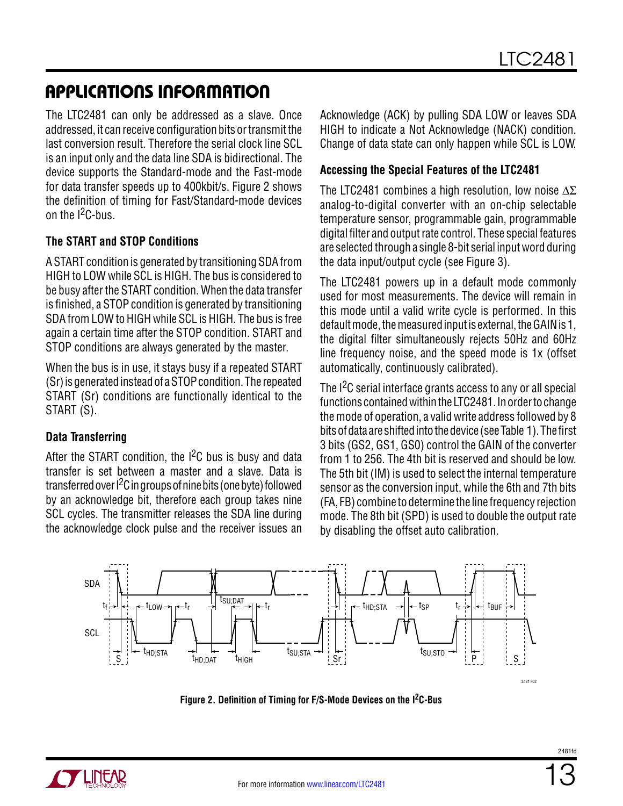The LTC2481 can only be addressed as a slave. Once addressed, it can receive configuration bits or transmit the last conversion result. Therefore the serial clock line SCL is an input only and the data line SDA is bidirectional. The device supports the Standard-mode and the Fast-mode for data transfer speeds up to 400kbit/s. Figure 2 shows the definition of timing for Fast/Standard-mode devices on the  $1^2$ C-bus.

#### **The START and STOP Conditions**

A START condition is generated by transitioning SDA from HIGH to LOW while SCL is HIGH. The bus is considered to be busy after the START condition. When the data transfer is finished, a STOP condition is generated by transitioning SDA from LOW to HIGH while SCL is HIGH. The bus is free again a certain time after the STOP condition. START and STOP conditions are always generated by the master.

When the bus is in use, it stays busy if a repeated START (Sr) is generated instead of a STOP condition. The repeated START (Sr) conditions are functionally identical to the START (S).

#### **Data Transferring**

After the START condition, the  $I^2C$  bus is busy and data transfer is set between a master and a slave. Data is transferred over I2C in groups of nine bits (one byte) followed by an acknowledge bit, therefore each group takes nine SCL cycles. The transmitter releases the SDA line during the acknowledge clock pulse and the receiver issues an Acknowledge (ACK) by pulling SDA LOW or leaves SDA HIGH to indicate a Not Acknowledge (NACK) condition. Change of data state can only happen while SCL is LOW.

#### **Accessing the Special Features of the LTC2481**

The LTC2481 combines a high resolution, low noise  $\Delta \Sigma$ analog-to-digital converter with an on-chip selectable temperature sensor, programmable gain, programmable digital filter and output rate control. These special features are selected through a single 8-bit serial input word during the data input/output cycle (see Figure 3).

The LTC2481 powers up in a default mode commonly used for most measurements. The device will remain in this mode until a valid write cycle is performed. In this default mode, the measured input is external, the GAIN is 1, the digital filter simultaneously rejects 50Hz and 60Hz line frequency noise, and the speed mode is 1x (offset automatically, continuously calibrated).

The I<sup>2</sup>C serial interface grants access to any or all special functions contained within the LTC2481. In order to change the mode of operation, a valid write address followed by 8 bits of data are shifted into the device (see Table 1). The first 3 bits (GS2, GS1, GS0) control the GAIN of the converter from 1 to 256. The 4th bit is reserved and should be low. The 5th bit (IM) is used to select the internal temperature sensor as the conversion input, while the 6th and 7th bits (FA, FB) combine to determine the line frequency rejection mode. The 8th bit (SPD) is used to double the output rate by disabling the offset auto calibration.



**Figure 2. Definition of Timing for F/S-Mode Devices on the I2C-Bus**

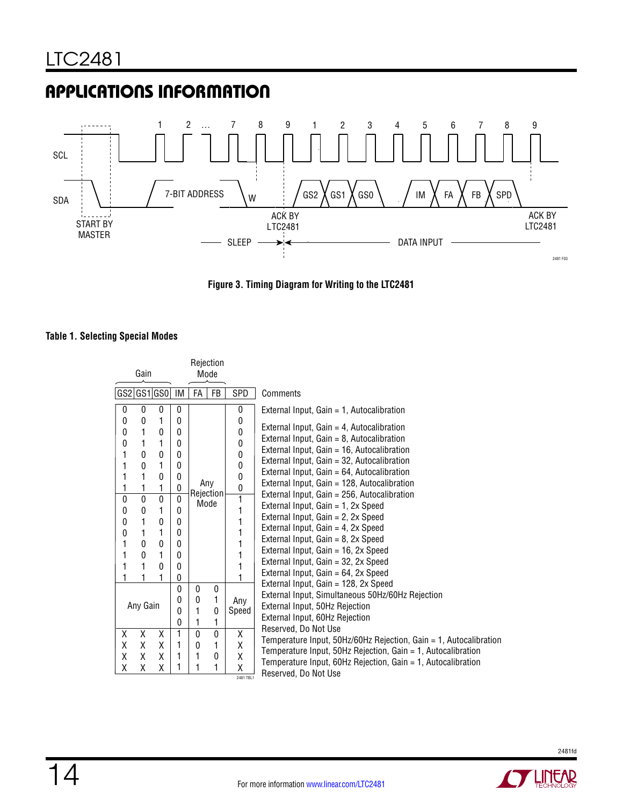

**Figure 3. Timing Diagram for Writing to the LTC2481**

#### **Table 1. Selecting Special Modes**

| Gain                                                                                                                                                                                                                                                                                                                                                                             |                                                                                                                                                                                                        | Rejection<br>Mode                          |                                            |                                                                              |                                                                                                                                                                                                                                                                                                                                                                                                                                                                                                                                                                                                                                                          |
|----------------------------------------------------------------------------------------------------------------------------------------------------------------------------------------------------------------------------------------------------------------------------------------------------------------------------------------------------------------------------------|--------------------------------------------------------------------------------------------------------------------------------------------------------------------------------------------------------|--------------------------------------------|--------------------------------------------|------------------------------------------------------------------------------|----------------------------------------------------------------------------------------------------------------------------------------------------------------------------------------------------------------------------------------------------------------------------------------------------------------------------------------------------------------------------------------------------------------------------------------------------------------------------------------------------------------------------------------------------------------------------------------------------------------------------------------------------------|
| GS2 GS1 GS0                                                                                                                                                                                                                                                                                                                                                                      | IM                                                                                                                                                                                                     | FA                                         | FB                                         | <b>SPD</b>                                                                   | Comments                                                                                                                                                                                                                                                                                                                                                                                                                                                                                                                                                                                                                                                 |
| $\bf{0}$<br>0<br>$\mathbf{0}$<br>$\mathbf{0}$<br>1<br>0<br>1<br>$\mathbf{0}$<br>$\mathbf{0}$<br>1<br>0<br>1<br>$\mathbf{0}$<br>$\mathbf{0}$<br>1<br>0<br>1<br>1<br>$\mathbf{0}$<br>1<br>1<br>1<br>1<br>1<br>$\overline{0}$<br>$\overline{0}$<br>$\overline{0}$<br>1<br>0<br>0<br>$\mathbf{0}$<br>1<br>0<br>1<br>0<br>1<br>$\mathbf{0}$<br>1<br>0<br>0<br>1<br>1<br>$\Omega$<br>1 | 0<br>$\mathbf{0}$<br>$\mathbf{0}$<br>$\mathbf{0}$<br>$\mathbf{0}$<br>$\mathbf{0}$<br>$\mathbf{0}$<br>0<br>$\overline{0}$<br>$\Omega$<br>$\Omega$<br>$\mathbf{0}$<br>0<br>$\mathbf{0}$<br>$\Omega$<br>0 | Any<br>Rejection<br>Mode                   |                                            | 0<br>0<br>0<br>0<br>0<br>0<br>0<br>0<br>1<br>1<br>1<br>1<br>1<br>1<br>1<br>1 | External Input, Gain = 1, Autocalibration<br>External Input, Gain = 4, Autocalibration<br>External Input, Gain = 8, Autocalibration<br>External Input, Gain = 16, Autocalibration<br>External Input, Gain = 32, Autocalibration<br>External Input, Gain = 64, Autocalibration<br>External Input, Gain = 128, Autocalibration<br>External Input, Gain = 256, Autocalibration<br>External Input, Gain = 1, 2x Speed<br>External Input, Gain = 2, 2x Speed<br>External Input, Gain = 4, 2x Speed<br>External Input, Gain = 8, 2x Speed<br>External Input, Gain = 16, 2x Speed<br>External Input, Gain = 32, 2x Speed<br>External Input, Gain = 64, 2x Speed |
| Any Gain<br>X<br>X<br>X<br>X<br>X<br>X<br>X<br>X<br>X                                                                                                                                                                                                                                                                                                                            | 0<br>0<br>0<br>0<br>1<br>1<br>1                                                                                                                                                                        | 0<br>0<br>1<br>1<br>$\mathbf{0}$<br>0<br>1 | 0<br>1<br>0<br>1<br>$\mathbf{0}$<br>1<br>0 | Any<br>Speed<br>Χ<br>X<br>Χ                                                  | External Input, Gain = 128, 2x Speed<br>External Input, Simultaneous 50Hz/60Hz Rejection<br>External Input, 50Hz Rejection<br>External Input, 60Hz Rejection<br>Reserved, Do Not Use<br>Temperature Input, 50Hz/60Hz Rejection, Gain = 1, Autocalibration<br>Temperature Input, 50Hz Rejection, Gain = 1, Autocalibration<br>Temperature Input, 60Hz Rejection, Gain = 1, Autocalibration                                                                                                                                                                                                                                                                |
| Χ<br>Χ<br>χ                                                                                                                                                                                                                                                                                                                                                                      | 1                                                                                                                                                                                                      | 1                                          | 1                                          | Χ<br>2481 TBL1                                                               | Reserved, Do Not Use                                                                                                                                                                                                                                                                                                                                                                                                                                                                                                                                                                                                                                     |



**LINEAR**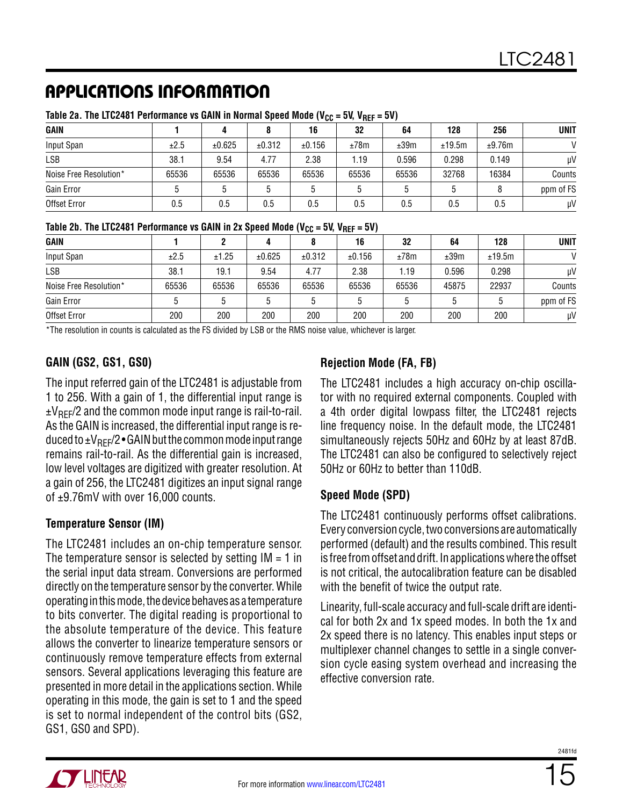|                        | <br>. |        |        |        |       |       |        |        |             |
|------------------------|-------|--------|--------|--------|-------|-------|--------|--------|-------------|
| <b>GAIN</b>            |       |        |        | 16     | 32    | 64    | 128    | 256    | <b>UNIT</b> |
| Input Span             | ±2.5  | ±0.625 | ±0.312 | ±0.156 | ±78m  | ±39m  | ±19.5m | ±9.76m |             |
| LSB                    | 38.1  | 9.54   | 4.77   | 2.38   | 1.19  | 0.596 | 0.298  | 0.149  | μV          |
| Noise Free Resolution* | 65536 | 65536  | 65536  | 65536  | 65536 | 65536 | 32768  | 16384  | Counts      |
| Gain Error             |       |        |        |        | ხ     |       |        | 8      | ppm of FS   |
| Offset Error           | 0.5   | 0.5    | 0.5    | 0.5    | 0.5   | 0.5   | 0.5    | 0.5    | μV          |

Table 2a. The LTC2481 Performance vs GAIN in Normal Speed Mode (V<sub>CC</sub> = 5V, V<sub>RFF</sub> = 5V)

Table 2b. The LTC2481 Performance vs GAIN in 2x Speed Mode (V<sub>CC</sub> = 5V, V<sub>REF</sub> = 5V)

| <b>GAIN</b>            |       |       |        |        | 16     | 32    | 64    | 128    | <b>UNIT</b>   |
|------------------------|-------|-------|--------|--------|--------|-------|-------|--------|---------------|
| Input Span             | ±2.5  | ±1.25 | ±0.625 | ±0.312 | ±0.156 | ±78m  | ±39m  | ±19.5m | $\mathcal{U}$ |
| LSB                    | 38.1  | 19.1  | 9.54   | 4.77   | 2.38   | 1.19  | 0.596 | 0.298  | μV            |
| Noise Free Resolution* | 65536 | 65536 | 65536  | 65536  | 65536  | 65536 | 45875 | 22937  | Counts        |
| Gain Error             |       |       |        |        | b      |       | 5     |        | ppm of FS     |
| Offset Error           | 200   | 200   | 200    | 200    | 200    | 200   | 200   | 200    | μV            |

\*The resolution in counts is calculated as the FS divided by LSB or the RMS noise value, whichever is larger.

#### **GAIN (GS2, GS1, GS0)**

The input referred gain of the LTC2481 is adjustable from 1 to 256. With a gain of 1, the differential input range is  $\pm V_{\text{RFF}}/2$  and the common mode input range is rail-to-rail. As the GAIN is increased, the differential input range is reduced to  $\pm V_{\text{RFF}}/2$  • GAIN but the common mode input range remains rail-to-rail. As the differential gain is increased, low level voltages are digitized with greater resolution. At a gain of 256, the LTC2481 digitizes an input signal range of ±9.76mV with over 16,000 counts.

#### **Temperature Sensor (IM)**

The LTC2481 includes an on-chip temperature sensor. The temperature sensor is selected by setting  $IM = 1$  in the serial input data stream. Conversions are performed directly on the temperature sensor by the converter. While operating in this mode, the device behaves as a temperature to bits converter. The digital reading is proportional to the absolute temperature of the device. This feature allows the converter to linearize temperature sensors or continuously remove temperature effects from external sensors. Several applications leveraging this feature are presented in more detail in the applications section. While operating in this mode, the gain is set to 1 and the speed is set to normal independent of the control bits (GS2, GS1, GS0 and SPD).

#### **Rejection Mode (FA, FB)**

The LTC2481 includes a high accuracy on-chip oscillator with no required external components. Coupled with a 4th order digital lowpass filter, the LTC2481 rejects line frequency noise. In the default mode, the LTC2481 simultaneously rejects 50Hz and 60Hz by at least 87dB. The LTC2481 can also be configured to selectively reject 50Hz or 60Hz to better than 110dB.

#### **Speed Mode (SPD)**

The LTC2481 continuously performs offset calibrations. Every conversion cycle, two conversions are automatically performed (default) and the results combined. This result is free from offset and drift. In applications where the offset is not critical, the autocalibration feature can be disabled with the benefit of twice the output rate.

Linearity, full-scale accuracy and full-scale drift are identical for both 2x and 1x speed modes. In both the 1x and 2x speed there is no latency. This enables input steps or multiplexer channel changes to settle in a single conversion cycle easing system overhead and increasing the effective conversion rate.

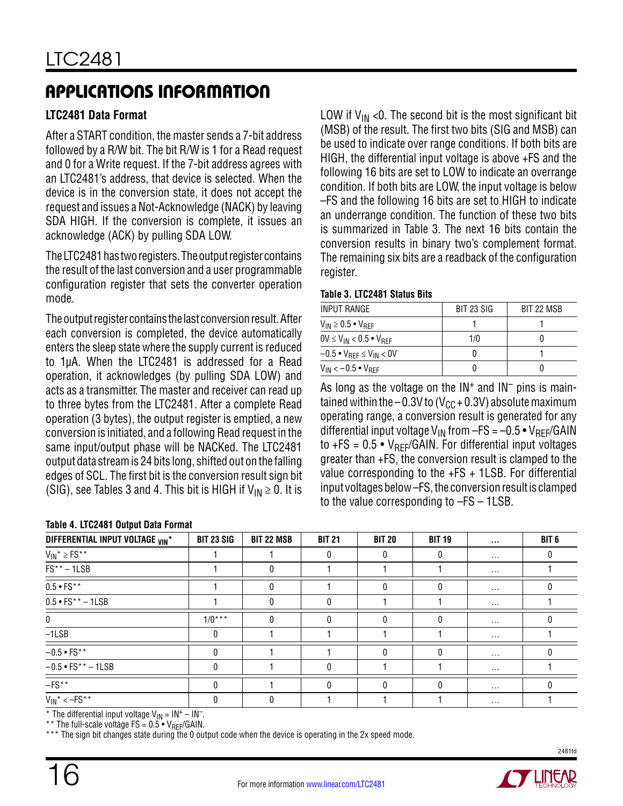#### **LTC2481 Data Format**

After a START condition, the master sends a 7-bit address followed by a R/W bit. The bit R/W is 1 for a Read request and 0 for a Write request. If the 7-bit address agrees with an LTC2481's address, that device is selected. When the device is in the conversion state, it does not accept the request and issues a Not-Acknowledge (NACK) by leaving SDA HIGH. If the conversion is complete, it issues an acknowledge (ACK) by pulling SDA LOW.

The LTC2481 has two registers. The output register contains the result of the last conversion and a user programmable configuration register that sets the converter operation mode.

The output register contains the last conversion result. After each conversion is completed, the device automatically enters the sleep state where the supply current is reduced to 1µA. When the LTC2481 is addressed for a Read operation, it acknowledges (by pulling SDA LOW) and acts as a transmitter. The master and receiver can read up to three bytes from the LTC2481. After a complete Read operation (3 bytes), the output register is emptied, a new conversion is initiated, and a following Read request in the same input/output phase will be NACKed. The LTC2481 output data stream is 24 bits long, shifted out on the falling edges of SCL. The first bit is the conversion result sign bit (SIG), see Tables 3 and 4. This bit is HIGH if  $V_{1N} \geq 0$ . It is

#### **Table 4. LTC2481 Output Data Format**

LOW if  $V_{IN}$  <0. The second bit is the most significant bit (MSB) of the result. The first two bits (SIG and MSB) can be used to indicate over range conditions. If both bits are HIGH, the differential input voltage is above +FS and the following 16 bits are set to LOW to indicate an overrange condition. If both bits are LOW, the input voltage is below –FS and the following 16 bits are set to HIGH to indicate an underrange condition. The function of these two bits is summarized in Table 3. The next 16 bits contain the conversion results in binary two's complement format. The remaining six bits are a readback of the configuration register.

#### **Table 3. LTC2481 Status Bits**

| INPUT RANGE                                       | BIT 23 SIG | BIT 22 MSB |
|---------------------------------------------------|------------|------------|
| $V_{IN} \geq 0.5$ • $V_{REF}$                     |            |            |
| $0V \leq V_{IN} < 0.5 \cdot V_{BFF}$              | 1/0        |            |
| $-0.5 \bullet V_{REF} \leq V_{IN} < 0V$           |            |            |
| $V_{\text{IN}} < -0.5$ $\bullet$ $V_{\text{RFF}}$ |            |            |

As long as the voltage on the  $IN<sup>+</sup>$  and  $IN<sup>-</sup>$  pins is maintained within the  $-0.3V$  to (V<sub>CC</sub> + 0.3V) absolute maximum operating range, a conversion result is generated for any differential input voltage  $V_{IN}$  from  $-FS = -0.5 \cdot V_{RFF}/GAIN$ to +FS =  $0.5 \cdot V_{REF}/GAIN$ . For differential input voltages greater than +FS, the conversion result is clamped to the value corresponding to the +FS + 1LSB. For differential input voltages below –FS, the conversion result is clamped to the value corresponding to –FS – 1LSB.

| DIFFERENTIAL INPUT VOLTAGE VIN* | <b>BIT 23 SIG</b> | <b>BIT 22 MSB</b> | <b>BIT 21</b> | <b>BIT 20</b> | <b>BIT 19</b> | $\cdots$ | BIT <sub>6</sub> |
|---------------------------------|-------------------|-------------------|---------------|---------------|---------------|----------|------------------|
| $V_{IN}^* \ge FS^{**}$          |                   |                   | 0             | 0             | 0             | $\cdots$ |                  |
| $FS^{\star\star}$ – 1LSB        |                   |                   |               |               |               | $\cdots$ |                  |
| $0.5 \cdot FS^{**}$             |                   |                   |               | $\Omega$      | 0             | $\cdots$ |                  |
| $0.5 \cdot FS^{**} - 1LSB$      |                   |                   | 0             |               |               | $\cdots$ |                  |
| 0                               | $1/0***$          | <sup>n</sup>      | $\Omega$      | $\Omega$      | 0             | $\cdots$ |                  |
| $-ILSB$                         | 0                 |                   |               |               |               | $\cdots$ |                  |
| $-0.5 \cdot FS^{**}$            | 0                 |                   |               | $\Omega$      | 0             | $\cdots$ |                  |
| $-0.5 \cdot FS^{**} - 1LSB$     | 0                 |                   | U             |               |               | $\cdots$ |                  |
| $-{\sf FS}^{\star\,\star}$      | 0                 |                   | $\Omega$      | $\Omega$      | 0             | $\cdots$ |                  |
| $V_{IN}^* < -FS^{**}$           |                   |                   |               |               |               | $\cdots$ |                  |

\* The differential input voltage  $V_{1N} = IN^+ - IN^-$ .

\*\* The full-scale voltage  $FS = 0.5 \cdot V_{REF}/GAIN$ .

\* The sign bit changes state during the 0 output code when the device is operating in the 2x speed mode.

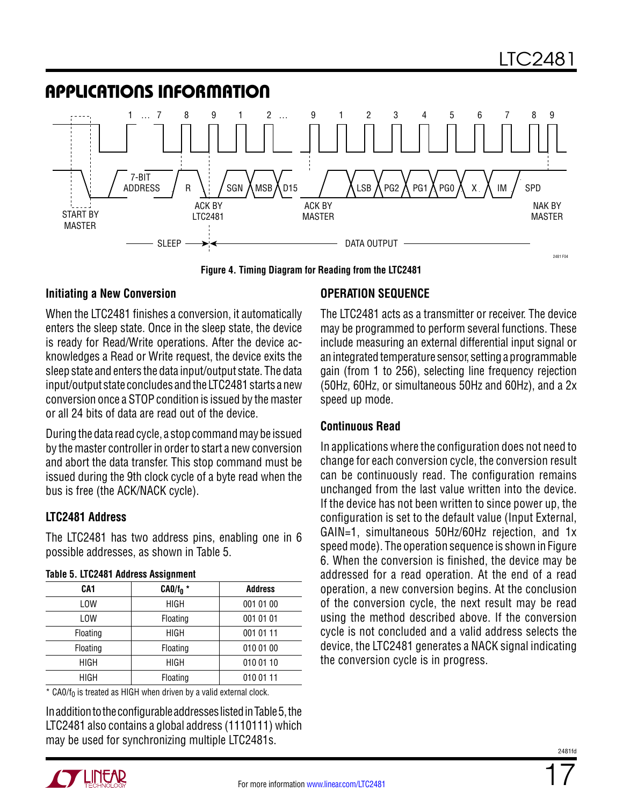

**Figure 4. Timing Diagram for Reading from the LTC2481**

#### **Initiating a New Conversion**

When the LTC2481 finishes a conversion, it automatically enters the sleep state. Once in the sleep state, the device is ready for Read/Write operations. After the device acknowledges a Read or Write request, the device exits the sleep state and enters the data input/output state. The data input/output state concludes and the LTC2481 starts a new conversion once a STOP condition is issued by the master or all 24 bits of data are read out of the device.

During the data read cycle, a stop command may be issued by the master controller in order to start a new conversion and abort the data transfer. This stop command must be issued during the 9th clock cycle of a byte read when the bus is free (the ACK/NACK cycle).

#### **LTC2481 Address**

The LTC2481 has two address pins, enabling one in 6 possible addresses, as shown in Table 5.

| 19910 0. ET 02 TOT 71991000 710019111110111 |             |                |  |  |  |  |
|---------------------------------------------|-------------|----------------|--|--|--|--|
| CA1                                         | $CA0/f_0$ * | <b>Address</b> |  |  |  |  |
| <b>LOW</b>                                  | <b>HIGH</b> | 001 01 00      |  |  |  |  |
| <b>LOW</b>                                  | Floating    | 001 01 01      |  |  |  |  |
| Floating                                    | <b>HIGH</b> | 001 01 11      |  |  |  |  |
| Floating                                    | Floating    | 010 01 00      |  |  |  |  |
| HIGH                                        | <b>HIGH</b> | 010 01 10      |  |  |  |  |
| <b>HIGH</b>                                 | Floating    | 010 01 11      |  |  |  |  |

#### **Table 5. LTC2481 Address Assignment**

 $*$  CA0/f<sub>0</sub> is treated as HIGH when driven by a valid external clock.

In addition to the configurable addresses listed in Table 5, the LTC2481 also contains a global address (1110111) which may be used for synchronizing multiple LTC2481s.

#### **Operation Sequence**

The LTC2481 acts as a transmitter or receiver. The device may be programmed to perform several functions. These include measuring an external differential input signal or an integrated temperature sensor, setting a programmable gain (from 1 to 256), selecting line frequency rejection (50Hz, 60Hz, or simultaneous 50Hz and 60Hz), and a 2x speed up mode.

#### **Continuous Read**

In applications where the configuration does not need to change for each conversion cycle, the conversion result can be continuously read. The configuration remains unchanged from the last value written into the device. If the device has not been written to since power up, the configuration is set to the default value (Input External, GAIN=1, simultaneous 50Hz/60Hz rejection, and 1x speed mode). The operation sequence is shown in Figure 6. When the conversion is finished, the device may be addressed for a read operation. At the end of a read operation, a new conversion begins. At the conclusion of the conversion cycle, the next result may be read using the method described above. If the conversion cycle is not concluded and a valid address selects the device, the LTC2481 generates a NACK signal indicating the conversion cycle is in progress.

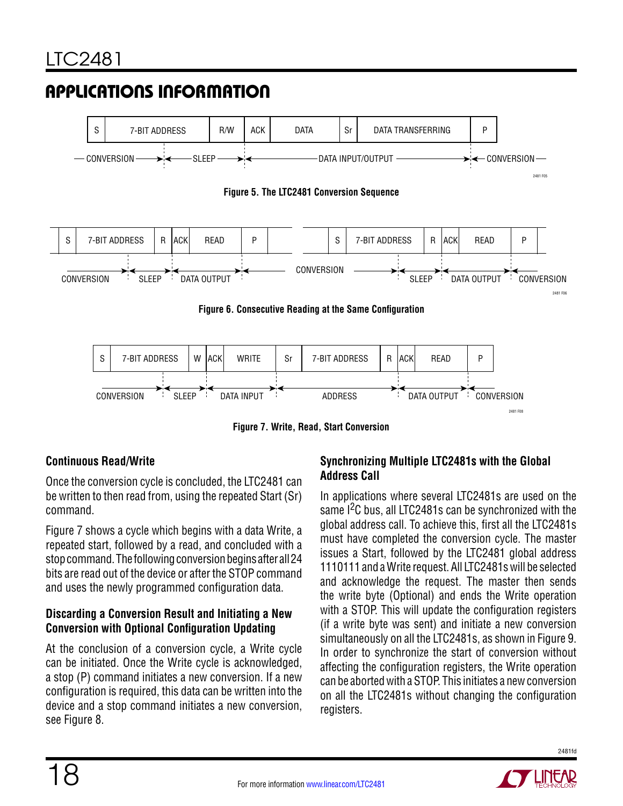



**Figure 7. Write, Read, Start Conversion**

#### **Continuous Read/Write**

Once the conversion cycle is concluded, the LTC2481 can be written to then read from, using the repeated Start (Sr) command.

Figure 7 shows a cycle which begins with a data Write, a repeated start, followed by a read, and concluded with a stop command. The following conversion begins after all 24 bits are read out of the device or after the STOP command and uses the newly programmed configuration data.

#### **Discarding a Conversion Result and Initiating a New Conversion with Optional Configuration Updating**

At the conclusion of a conversion cycle, a Write cycle can be initiated. Once the Write cycle is acknowledged, a stop (P) command initiates a new conversion. If a new configuration is required, this data can be written into the device and a stop command initiates a new conversion, see Figure 8.

#### **Synchronizing Multiple LTC2481s with the Global Address Call**

In applications where several LTC2481s are used on the same I<sup>2</sup>C bus, all LTC2481s can be synchronized with the global address call. To achieve this, first all the LTC2481s must have completed the conversion cycle. The master issues a Start, followed by the LTC2481 global address 1110111 and a Write request. All LTC2481s will be selected and acknowledge the request. The master then sends the write byte (Optional) and ends the Write operation with a STOP. This will update the configuration registers (if a write byte was sent) and initiate a new conversion simultaneously on all the LTC2481s, as shown in Figure 9. In order to synchronize the start of conversion without affecting the configuration registers, the Write operation can be aborted with a STOP. This initiates a new conversion on all the LTC2481s without changing the configuration registers.

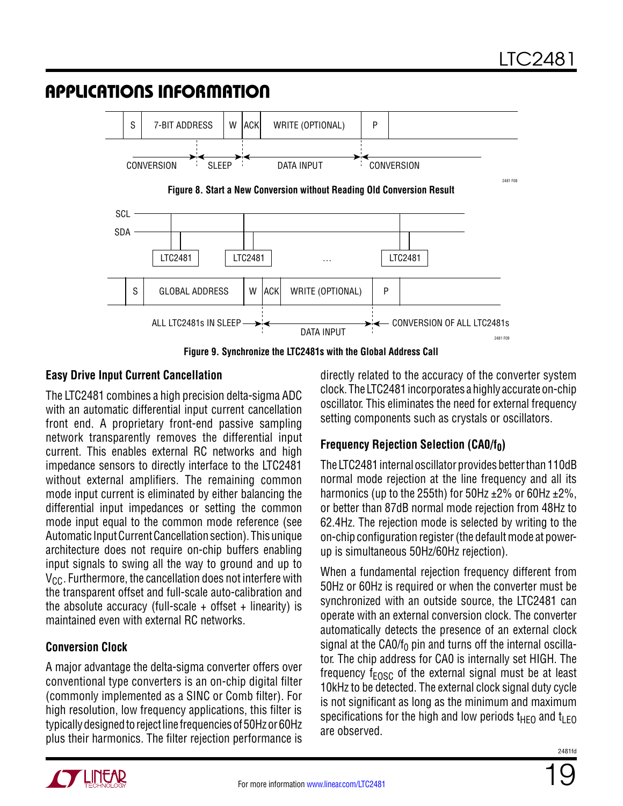

**Figure 9. Synchronize the LTC2481s with the Global Address Call**

#### **Easy Drive Input Current Cancellation**

The LTC2481 combines a high precision delta-sigma ADC with an automatic differential input current cancellation front end. A proprietary front-end passive sampling network transparently removes the differential input current. This enables external RC networks and high impedance sensors to directly interface to the LTC2481 without external amplifiers. The remaining common mode input current is eliminated by either balancing the differential input impedances or setting the common mode input equal to the common mode reference (see Automatic Input Current Cancellation section). This unique architecture does not require on-chip buffers enabling input signals to swing all the way to ground and up to  $V_{\text{CC}}$ . Furthermore, the cancellation does not interfere with the transparent offset and full-scale auto-calibration and the absolute accuracy (full-scale  $+$  offset  $+$  linearity) is maintained even with external RC networks.

### **Conversion Clock**

A major advantage the delta-sigma converter offers over conventional type converters is an on-chip digital filter (commonly implemented as a SINC or Comb filter). For high resolution, low frequency applications, this filter is typically designed to reject line frequencies of 50Hz or 60Hz plus their harmonics. The filter rejection performance is

directly related to the accuracy of the converter system clock. The LTC2481 incorporates a highly accurate on-chip oscillator. This eliminates the need for external frequency setting components such as crystals or oscillators.

### **Frequency Rejection Selection (CA0/f<sub>0</sub>)**

The LTC2481 internal oscillator provides better than 110dB normal mode rejection at the line frequency and all its harmonics (up to the 255th) for 50Hz  $\pm$ 2% or 60Hz  $\pm$ 2%, or better than 87dB normal mode rejection from 48Hz to 62.4Hz. The rejection mode is selected by writing to the on-chip configuration register (the default mode at powerup is simultaneous 50Hz/60Hz rejection).

When a fundamental rejection frequency different from 50Hz or 60Hz is required or when the converter must be synchronized with an outside source, the LTC2481 can operate with an external conversion clock. The converter automatically detects the presence of an external clock signal at the CA0/ $f_0$  pin and turns off the internal oscillator. The chip address for CA0 is internally set HIGH. The frequency  $f_{FOSC}$  of the external signal must be at least 10kHz to be detected. The external clock signal duty cycle is not significant as long as the minimum and maximum specifications for the high and low periods  $t_{\text{HFO}}$  and  $t_{\text{IFO}}$ are observed.

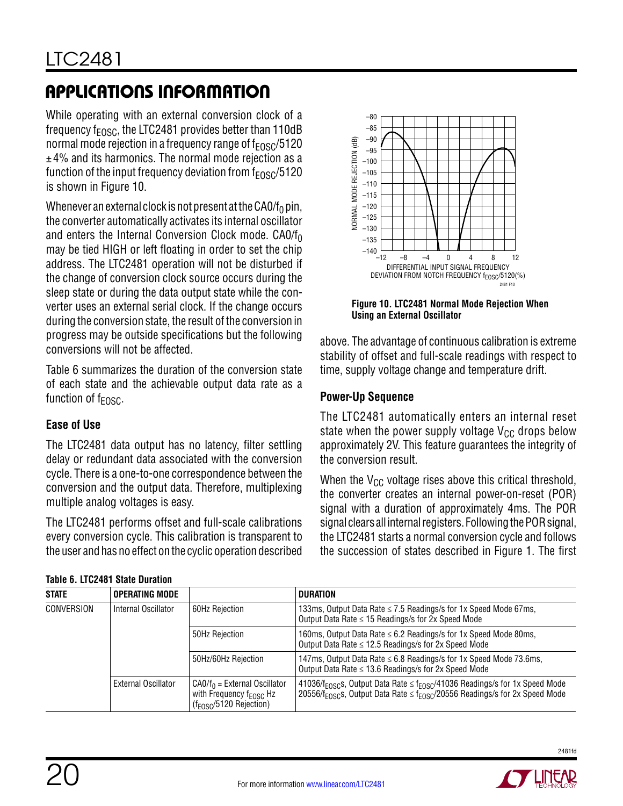While operating with an external conversion clock of a frequency  $f_{FOSC}$ , the LTC2481 provides better than 110dB normal mode rejection in a frequency range of  $f_{FOSC}/5120$  $±4%$  and its harmonics. The normal mode rejection as a function of the input frequency deviation from  $f_{FOSC}/5120$ is shown in Figure 10.

Whenever an external clock is not present at the CA0/f<sub>0</sub> pin, the converter automatically activates its internal oscillator and enters the Internal Conversion Clock mode.  $CAO/f<sub>0</sub>$ may be tied HIGH or left floating in order to set the chip address. The LTC2481 operation will not be disturbed if the change of conversion clock source occurs during the sleep state or during the data output state while the converter uses an external serial clock. If the change occurs during the conversion state, the result of the conversion in progress may be outside specifications but the following conversions will not be affected.

Table 6 summarizes the duration of the conversion state of each state and the achievable output data rate as a function of  $f_{FOSC}$ .

#### **Ease of Use**

The LTC2481 data output has no latency, filter settling delay or redundant data associated with the conversion cycle. There is a one-to-one correspondence between the conversion and the output data. Therefore, multiplexing multiple analog voltages is easy.

The LTC2481 performs offset and full-scale calibrations every conversion cycle. This calibration is transparent to the user and has no effect on the cyclic operation described

| Table 6. LTC2481 State Duration |  |
|---------------------------------|--|
|                                 |  |



**Figure 10. LTC2481 Normal Mode Rejection When Using an External Oscillator**

above. The advantage of continuous calibration is extreme stability of offset and full-scale readings with respect to time, supply voltage change and temperature drift.

#### **Power-Up Sequence**

The LTC2481 automatically enters an internal reset state when the power supply voltage  $V_{CC}$  drops below approximately 2V. This feature guarantees the integrity of the conversion result.

When the  $V_{CC}$  voltage rises above this critical threshold, the converter creates an internal power-on-reset (POR) signal with a duration of approximately 4ms. The POR signal clears all internal registers. Following the POR signal, the LTC2481 starts a normal conversion cycle and follows the succession of states described in Figure 1. The first

| <b>STATE</b> | <b>OPERATING MODE</b> |                                                                                                       | <b>DURATION</b>                                                                                                                                                                                      |  |  |  |
|--------------|-----------------------|-------------------------------------------------------------------------------------------------------|------------------------------------------------------------------------------------------------------------------------------------------------------------------------------------------------------|--|--|--|
| CONVERSION   | Internal Oscillator   | 60Hz Rejection                                                                                        | 133ms, Output Data Rate ≤ 7.5 Readings/s for 1x Speed Mode 67ms,<br>Output Data Rate $\leq$ 15 Readings/s for 2x Speed Mode                                                                          |  |  |  |
|              |                       | 50Hz Reiection                                                                                        | 160ms, Output Data Rate ≤ 6.2 Readings/s for 1x Speed Mode 80ms,<br>Output Data Rate ≤ 12.5 Readings/s for 2x Speed Mode                                                                             |  |  |  |
|              |                       | 50Hz/60Hz Rejection                                                                                   | 147ms, Output Data Rate ≤ 6.8 Readings/s for 1x Speed Mode 73.6ms,<br>Output Data Rate $\leq$ 13.6 Readings/s for 2x Speed Mode                                                                      |  |  |  |
|              | External Oscillator   | $CAO/f_0$ = External Oscillator<br>with Frequency f <sub>EOSC</sub> Hz<br>$(f_{EOSC}/5120$ Rejection) | 41036/f <sub>EOSC</sub> s, Output Data Rate $\leq$ f <sub>EOSC</sub> /41036 Readings/s for 1x Speed Mode<br>20556/ $f_{FOSCS}$ , Output Data Rate $\leq f_{FOSC}/20556$ Readings/s for 2x Speed Mode |  |  |  |

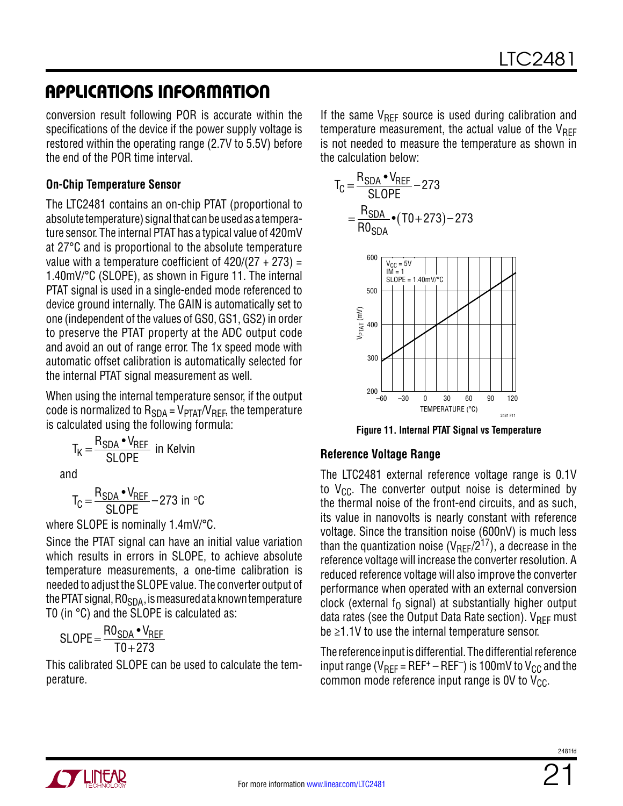conversion result following POR is accurate within the specifications of the device if the power supply voltage is restored within the operating range (2.7V to 5.5V) before the end of the POR time interval.

#### **On-Chip Temperature Sensor**

The LTC2481 contains an on-chip PTAT (proportional to absolute temperature) signal that can be used as a temperature sensor. The internal PTAT has a typical value of 420mV at 27°C and is proportional to the absolute temperature value with a temperature coefficient of  $420/(27 + 273) =$ 1.40mV/°C (SLOPE), as shown in Figure 11. The internal PTAT signal is used in a single-ended mode referenced to device ground internally. The GAIN is automatically set to one (independent of the values of GS0, GS1, GS2) in order to preserve the PTAT property at the ADC output code and avoid an out of range error. The 1x speed mode with automatic offset calibration is automatically selected for the internal PTAT signal measurement as well.

When using the internal temperature sensor, if the output code is normalized to  $R<sub>SDA</sub> = V<sub>PTAT</sub>/V<sub>REF</sub>$ , the temperature is calculated using the following formula:

$$
T_K = \frac{R_{SDA} \cdot V_{REF}}{SLOPE}
$$
 in Kelvin

and

$$
T_C = \frac{R_{SDA} \cdot V_{REF}}{SLOPE} - 273 \text{ in } ^{\circ}C
$$

where SLOPE is nominally 1.4mV/°C.

Since the PTAT signal can have an initial value variation which results in errors in SLOPE, to achieve absolute temperature measurements, a one-time calibration is needed to adjust the SLOPE value. The converter output of the PTAT signal,  $R0_{SDA}$ , is measured at a known temperature T0 (in °C) and the SLOPE is calculated as:

$$
SLOPE = \frac{RO_{SDA} \cdot V_{REF}}{TO + 273}
$$

This calibrated SLOPE can be used to calculate the temperature.

If the same  $V_{REF}$  source is used during calibration and temperature measurement, the actual value of the  $V_{\text{RFF}}$ is not needed to measure the temperature as shown in the calculation below:

$$
T_{C} = \frac{R_{SDA} \cdot V_{REF}}{SLOPE} - 273
$$

$$
= \frac{R_{SDA}}{R0_{SDA}} \cdot (T0 + 273) - 273
$$



**Figure 11. Internal PTAT Signal vs Temperature**

#### **Reference Voltage Range**

The LTC2481 external reference voltage range is 0.1V to  $V_{CC}$ . The converter output noise is determined by the thermal noise of the front-end circuits, and as such, its value in nanovolts is nearly constant with reference voltage. Since the transition noise (600nV) is much less than the quantization noise ( $V_{\text{REF}}/2^{17}$ ), a decrease in the reference voltage will increase the converter resolution. A reduced reference voltage will also improve the converter performance when operated with an external conversion clock (external  $f_0$  signal) at substantially higher output data rates (see the Output Data Rate section).  $V_{REF}$  must be ≥1.1V to use the internal temperature sensor.

The reference input is differential. The differential reference input range ( $V_{REF}$  = REF<sup>+</sup> – REF<sup>-</sup>) is 100mV to  $V_{CC}$  and the common mode reference input range is OV to  $V_{CC}$ .

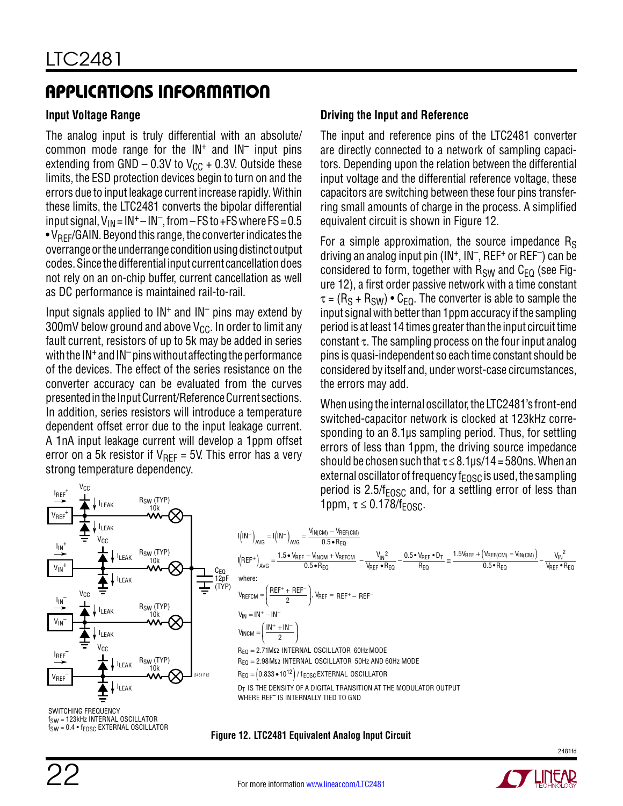#### **Input Voltage Range**

The analog input is truly differential with an absolute/ common mode range for the  $IN<sup>+</sup>$  and  $IN<sup>-</sup>$  input pins extending from GND – 0.3V to  $V_{CC}$  + 0.3V. Outside these limits, the ESD protection devices begin to turn on and the errors due to input leakage current increase rapidly. Within these limits, the LTC2481 converts the bipolar differential input signal,  $V_{IN} = IN^+ - IN^-$ , from – FS to +FS where FS = 0.5  $\bullet$  V<sub>RFF</sub>/GAIN. Beyond this range, the converter indicates the overrange or the underrange condition using distinct output codes. Since the differential input current cancellation does not rely on an on-chip buffer, current cancellation as well as DC performance is maintained rail-to-rail.

Input signals applied to  $IN<sup>+</sup>$  and  $IN<sup>-</sup>$  pins may extend by 300mV below ground and above  $V_{CC}$ . In order to limit any fault current, resistors of up to 5k may be added in series with the  $IN^+$  and  $IN^-$  pins without affecting the performance of the devices. The effect of the series resistance on the converter accuracy can be evaluated from the curves presented in the Input Current/Reference Current sections. In addition, series resistors will introduce a temperature dependent offset error due to the input leakage current. A 1nA input leakage current will develop a 1ppm offset error on a 5k resistor if  $V_{\text{RFF}} = 5V$ . This error has a very strong temperature dependency.

#### **Driving the Input and Reference**

The input and reference pins of the LTC2481 converter are directly connected to a network of sampling capacitors. Depending upon the relation between the differential input voltage and the differential reference voltage, these capacitors are switching between these four pins transferring small amounts of charge in the process. A simplified equivalent circuit is shown in Figure 12.

For a simple approximation, the source impedance  $R<sub>S</sub>$ driving an analog input pin  $(IN^+, IN^-, REF^+)$  can be considered to form, together with  $R_{SW}$  and  $C_{FO}$  (see Figure 12), a first order passive network with a time constant  $\tau = (R_S + R_{SW}) \bullet C_{FO}$ . The converter is able to sample the input signal with better than 1ppm accuracy if the sampling period is at least 14 times greater than the input circuit time constant  $\tau$ . The sampling process on the four input analog pins is quasi-independent so each time constant should be considered by itself and, under worst-case circumstances, the errors may add.

When using the internal oscillator, the LTC2481's front-end switched-capacitor network is clocked at 123kHz corresponding to an 8.1µs sampling period. Thus, for settling errors of less than 1ppm, the driving source impedance should be chosen such that  $\tau \leq 8.1 \mu s/14 = 580$ ns. When an external oscillator of frequency  $f_{\text{FOSC}}$  is used, the sampling period is  $2.5/f_{EOSC}$  and, for a settling error of less than



AVG <sup>(</sup> /avg 0.5∙R  $I(REF^+)_{\text{AVC}} = \frac{1.5 \cdot V_{REF} - V_{NCM} + V_{REFCM}}{0.5 \cdot R_{BS}}$ 0.5  $\bullet$  R<sub>EQ</sub> V IN  $\mathsf{V}_{\mathsf{REF}}\bullet\mathsf{R}_{\mathsf{EQ}}$ 0.5 • V $_{\rm{REF}}$  • D $_{\rm{T}}$   $_{\sim}$   $^{1.5}$ R EQ  $\frac{V_{\text{INCM}} + V_{\text{REFCM}}}{V_{\text{REF}} - V_{\text{REF}} \cdot \text{P}_{\text{EQ}}} - \frac{0.5 \cdot V_{\text{REF}} \cdot \text{D}_{\text{T}}}{P_{\text{EQ}}} \cong \frac{1.5 V_{\text{REF}} + (V_{\text{REF/CM}}) - V_{\text{IN/CM}})}{0.5 \cdot P_{\text{EQ}}} - \frac{V_{\text{IN}}}{V_{\text{REF}} \cdot \text{P}_{\text{EQ}}}$ R V IN  $\mathsf{V}_{\mathsf{REF}}\bullet\mathsf{R}_{\mathsf{EQ}}$ EQ EQ  $(IN^+)_{AVG} = I(1N^-)_{AVG} = \frac{V_{IN(CM)} - 0.5 - 1}{0.5}$  $\left(\frac{\text{REF}^+ + \text{REF}^-}{2}\right)$ ,  $V_{\text{REF}} = \text{REF}^+ - \text{REF}^ -$  )  $\frac{VIN(CM) - VREF(CM)}{V}$  $_{0.5}$  $_{0.5}$  $\mathsf{R}_{\mathsf{EQ}} = 2.71\mathsf{M}\Omega$  internal oscillator 60Hz mode  $V_{IN} = IN^+ - IN^ V_{\text{INCM}} = \frac{\text{IN}^+ + \text{IN}}{2}$ ì  $\overline{1}$  $\mathsf{R}_\mathsf{EQ}=$  2.98 MΩ INTERNAL OSCILLATOR 50Hz AND 60Hz MODE  $\mathsf{R}_{\mathsf{EQ}} = \left( 0.833 \bullet 10^{12} \right)$  /  $\mathsf{f}_{\mathsf{EOSC}}$  EXTERNAL OSCILLATOR  $+1N$ <sup>-</sup> ľ  $\overline{1}$  <sup>2</sup> 2

 ${\sf D}_{\sf T}$  is the density of a digital transition at the modulator output WHERE REF– IS INTERNALLY TIED TO GND

IN(CM) — YREF(CM

SWITCHING FREQUENCY f<sub>SW</sub> = 123kHz INTERNAL OSCILLATOR  $f_{SW} = 0.4 \cdot f_{EOSC}$  EXTERNAL OSCILLATOR

**Figure 12. LTC2481 Equivalent Analog Input Circuit**

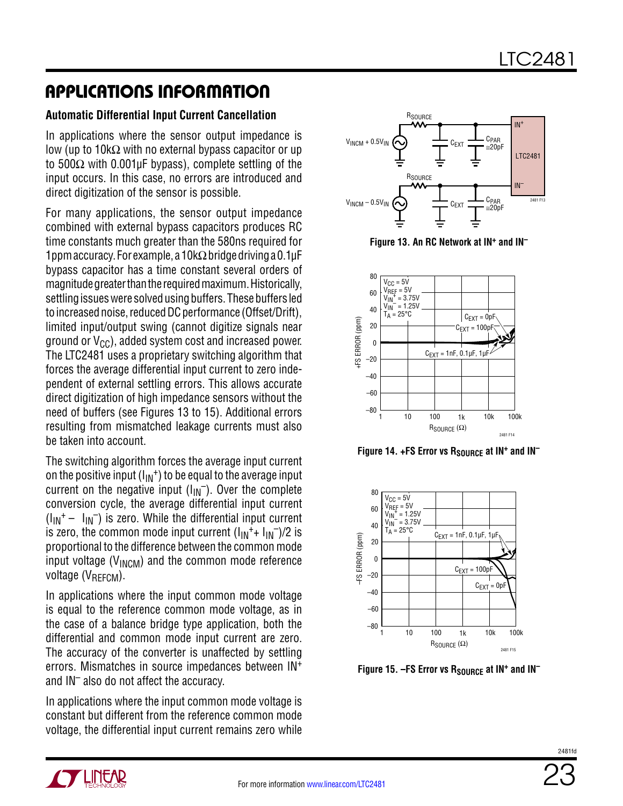#### **Automatic Differential Input Current Cancellation**

In applications where the sensor output impedance is low (up to 10kΩ with no external bypass capacitor or up to 500Ω with 0.001µF bypass), complete settling of the input occurs. In this case, no errors are introduced and direct digitization of the sensor is possible.

For many applications, the sensor output impedance combined with external bypass capacitors produces RC time constants much greater than the 580ns required for 1ppm accuracy. For example, a 10kΩ bridge driving a 0.1µF bypass capacitor has a time constant several orders of magnitude greater than the required maximum. Historically, settling issues were solved using buffers. These buffers led to increased noise, reduced DC performance (Offset/Drift), limited input/output swing (cannot digitize signals near ground or  $V_{CC}$ ), added system cost and increased power. The LTC2481 uses a proprietary switching algorithm that forces the average differential input current to zero independent of external settling errors. This allows accurate direct digitization of high impedance sensors without the need of buffers (see Figures 13 to 15). Additional errors resulting from mismatched leakage currents must also be taken into account.

The switching algorithm forces the average input current on the positive input  $(I_{IN}^+)$  to be equal to the average input current on the negative input  $(I_{\text{IN}})$ . Over the complete conversion cycle, the average differential input current  $(I_{IN}^+ - I_{IN}^-)$  is zero. While the differential input current is zero, the common mode input current  $(I_{IN}^+ + I_{IN}^-)/2$  is proportional to the difference between the common mode input voltage ( $V_{INCM}$ ) and the common mode reference voltage  $(V_{RFFCM})$ .

In applications where the input common mode voltage is equal to the reference common mode voltage, as in the case of a balance bridge type application, both the differential and common mode input current are zero. The accuracy of the converter is unaffected by settling errors. Mismatches in source impedances between IN+ and IN– also do not affect the accuracy.

In applications where the input common mode voltage is constant but different from the reference common mode voltage, the differential input current remains zero while



**Figure 13. An RC Network at IN+ and IN–**



**Figure 14. +FS Error vs R<sub>SOURCE</sub> at IN<sup>+</sup> and IN<sup>-</sup>** 



Figure 15. - FS Error vs R<sub>SOURCE</sub> at IN<sup>+</sup> and IN<sup>-</sup>

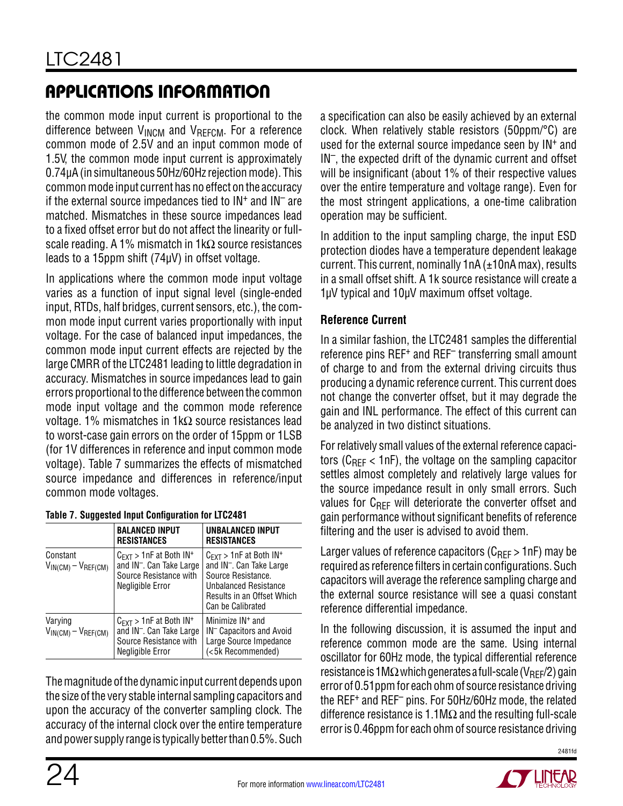the common mode input current is proportional to the difference between  $V_{INCM}$  and  $V_{RFICM}$ . For a reference common mode of 2.5V and an input common mode of 1.5V, the common mode input current is approximately 0.74µA (in simultaneous 50Hz/60Hz rejection mode). This common mode input current has no effect on the accuracy if the external source impedances tied to  $IN<sup>+</sup>$  and  $IN<sup>-</sup>$  are matched. Mismatches in these source impedances lead to a fixed offset error but do not affect the linearity or fullscale reading. A 1% mismatch in 1kΩ source resistances leads to a 15ppm shift (74µV) in offset voltage.

In applications where the common mode input voltage varies as a function of input signal level (single-ended input, RTDs, half bridges, current sensors, etc.), the common mode input current varies proportionally with input voltage. For the case of balanced input impedances, the common mode input current effects are rejected by the large CMRR of the LTC2481 leading to little degradation in accuracy. Mismatches in source impedances lead to gain errors proportional to the difference between the common mode input voltage and the common mode reference voltage. 1% mismatches in 1kΩ source resistances lead to worst-case gain errors on the order of 15ppm or 1LSB (for 1V differences in reference and input common mode voltage). Table 7 summarizes the effects of mismatched source impedance and differences in reference/input common mode voltages.

|                                        | <b>BALANCED INPUT</b><br><b>RESISTANCES</b>                                                                                          | UNBALANCED INPUT<br><b>RESISTANCES</b>                                                                                                                                                           |
|----------------------------------------|--------------------------------------------------------------------------------------------------------------------------------------|--------------------------------------------------------------------------------------------------------------------------------------------------------------------------------------------------|
| Constant<br>$V_{IN(CM)} - V_{REF(CM)}$ | $C_{\text{EXT}}$ > 1nF at Both IN <sup>+</sup><br>and IN <sup>-</sup> . Can Take Large<br>Source Resistance with<br>Negligible Error | $C_{\text{FXT}} > 1$ nF at Both IN <sup>+</sup><br>and IN <sup>-</sup> . Can Take Large<br>Source Resistance.<br><b>Unbalanced Resistance</b><br>Results in an Offset Which<br>Can be Calibrated |
| Varying<br>$V_{IN(CM)} - V_{REF(CM)}$  | $C_{\text{EXT}}$ > 1nF at Both IN <sup>+</sup><br>and IN <sup>-</sup> . Can Take Large<br>Source Resistance with<br>Negligible Error | Minimize IN <sup>+</sup> and<br>IN <sup>-</sup> Capacitors and Avoid<br>Large Source Impedance<br>(<5k Recommended)                                                                              |

#### **Table 7. Suggested Input Configuration for LTC2481**

The magnitude of the dynamic input current depends upon the size of the very stable internal sampling capacitors and upon the accuracy of the converter sampling clock. The accuracy of the internal clock over the entire temperature and power supply range is typically better than 0.5%. Such a specification can also be easily achieved by an external clock. When relatively stable resistors (50ppm/°C) are used for the external source impedance seen by IN<sup>+</sup> and IN–, the expected drift of the dynamic current and offset will be insignificant (about 1% of their respective values over the entire temperature and voltage range). Even for the most stringent applications, a one-time calibration operation may be sufficient.

In addition to the input sampling charge, the input ESD protection diodes have a temperature dependent leakage current. This current, nominally 1nA (±10nA max), results in a small offset shift. A 1k source resistance will create a 1µV typical and 10µV maximum offset voltage.

#### **Reference Current**

In a similar fashion, the LTC2481 samples the differential reference pins REF<sup>+</sup> and REF<sup>-</sup> transferring small amount of charge to and from the external driving circuits thus producing a dynamic reference current. This current does not change the converter offset, but it may degrade the gain and INL performance. The effect of this current can be analyzed in two distinct situations.

For relatively small values of the external reference capacitors ( $C_{\text{RFF}}$  < 1nF), the voltage on the sampling capacitor settles almost completely and relatively large values for the source impedance result in only small errors. Such values for  $C_{REF}$  will deteriorate the converter offset and gain performance without significant benefits of reference filtering and the user is advised to avoid them.

Larger values of reference capacitors ( $C_{\text{RFF}}$  > 1nF) may be required as reference filters in certain configurations. Such capacitors will average the reference sampling charge and the external source resistance will see a quasi constant reference differential impedance.

In the following discussion, it is assumed the input and reference common mode are the same. Using internal oscillator for 60Hz mode, the typical differential reference resistance is 1MΩ which generates a full-scale (V<sub>RFF</sub>/2) gain error of 0.51ppm for each ohm of source resistance driving the REF+ and REF– pins. For 50Hz/60Hz mode, the related difference resistance is 1.1M $\Omega$  and the resulting full-scale error is 0.46ppm for each ohm of source resistance driving

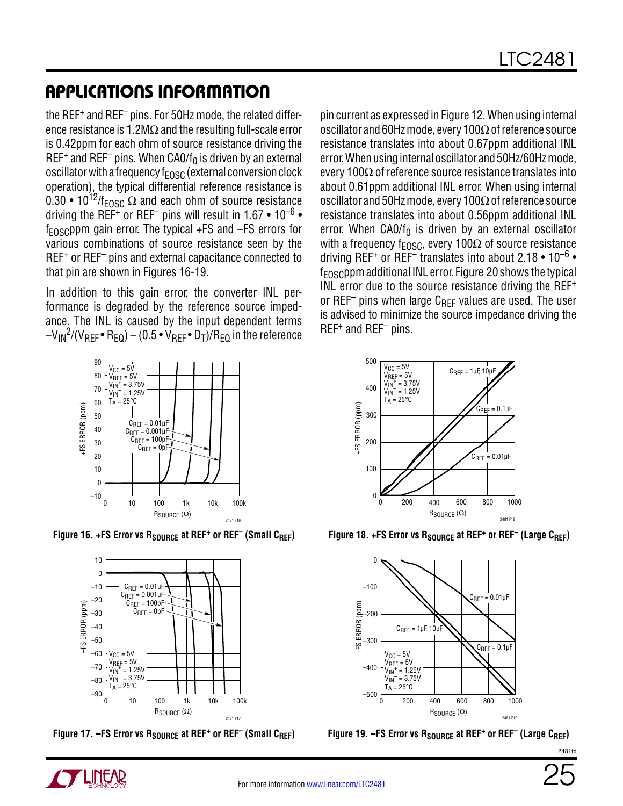the REF+ and REF– pins. For 50Hz mode, the related difference resistance is 1.2M $\Omega$  and the resulting full-scale error is 0.42ppm for each ohm of source resistance driving the REF<sup>+</sup> and REF<sup>-</sup> pins. When CA0/f<sub>0</sub> is driven by an external oscillator with a frequency  $f_{EOSC}$  (external conversion clock operation), the typical differential reference resistance is 0.30 • 10<sup>12</sup>/f<sub>FOSC</sub>  $\Omega$  and each ohm of source resistance driving the REF<sup>+</sup> or REF<sup>-</sup> pins will result in 1.67 • 10<sup>-6</sup> •  $f_{\text{FOSC}}$ ppm gain error. The typical  $+FS$  and  $-FS$  errors for various combinations of source resistance seen by the REF<sup>+</sup> or REF<sup>-</sup> pins and external capacitance connected to that pin are shown in Figures 16-19.

In addition to this gain error, the converter INL performance is degraded by the reference source impedance. The INL is caused by the input dependent terms  $-V_{IN}^2/(V_{RFF} \cdot R_{FO}) - (0.5 \cdot V_{RFF} \cdot D_T)/R_{FO}$  in the reference

pin current as expressed in Figure 12. When using internal oscillator and 60Hz mode, every 100Ω of reference source resistance translates into about 0.67ppm additional INL error. When using internal oscillator and 50Hz/60Hz mode, every 100Ω of reference source resistance translates into about 0.61ppm additional INL error. When using internal oscillator and 50Hz mode, every 100Ω of reference source resistance translates into about 0.56ppm additional INL error. When  $CAO/f_0$  is driven by an external oscillator with a frequency f<sub>FOSC</sub>, every 100 $\Omega$  of source resistance driving REF<sup>+</sup> or REF<sup>-</sup> translates into about 2.18 • 10<sup>-6</sup> •  $f_{\text{FOSC}}$ ppm additional INL error. Figure 20 shows the typical INL error due to the source resistance driving the REF+ or REF<sup>-</sup> pins when large  $C_{REF}$  values are used. The user is advised to minimize the source impedance driving the REF+ and REF– pins.



Figure 16. +FS Error vs R<sub>SOURCE</sub> at REF<sup>+</sup> or REF<sup>-</sup> (Small C<sub>REF</sub>)



Figure 17. –FS Error vs R<sub>SOURCE</sub> at REF<sup>+</sup> or REF<sup>-</sup> (Small C<sub>REF</sub>)



Figure 18. +FS Error vs R<sub>SOURCE</sub> at REF<sup>+</sup> or REF<sup>-</sup> (Large C<sub>REF</sub>)



Figure 19. –FS Error vs R<sub>SOURCE</sub> at REF<sup>+</sup> or REF<sup>-</sup> (Large C<sub>REF</sub>)

2481fd

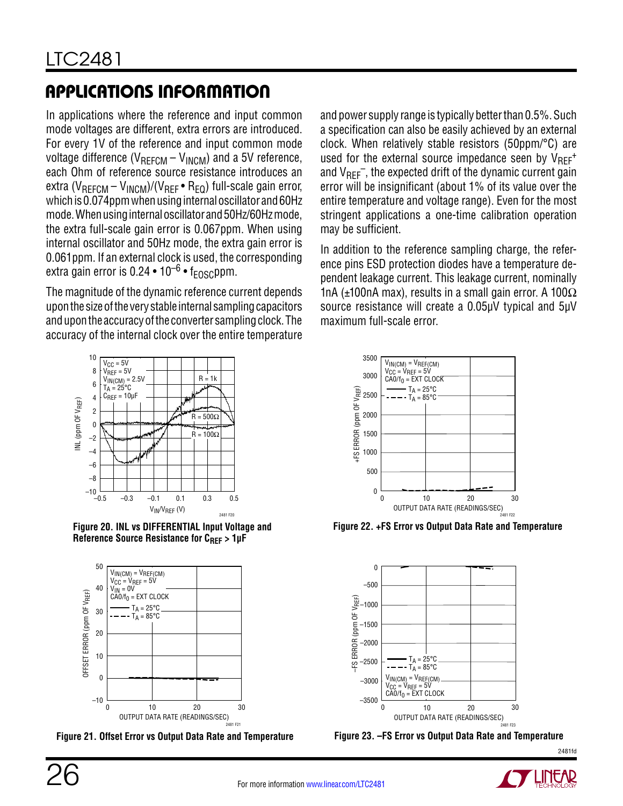In applications where the reference and input common mode voltages are different, extra errors are introduced. For every 1V of the reference and input common mode voltage difference ( $V_{REFCM} - V_{INCM}$ ) and a 5V reference, each Ohm of reference source resistance introduces an extra ( $V_{REFCM} - V_{INCM}$ )/( $V_{REF} \cdot R_{EO}$ ) full-scale gain error, which is 0.074ppm when using internal oscillator and 60Hz mode. When using internal oscillator and 50Hz/60Hz mode, the extra full-scale gain error is 0.067ppm. When using internal oscillator and 50Hz mode, the extra gain error is 0.061ppm. If an external clock is used, the corresponding extra gain error is 0.24 • 10<sup>–6</sup> • f<sub>EOSC</sub>ppm.

The magnitude of the dynamic reference current depends upon the size of the very stable internal sampling capacitors and upon the accuracy of the converter sampling clock. The accuracy of the internal clock over the entire temperature



**Figure 20. INL vs DIFFERENTIAL Input Voltage and**  Reference Source Resistance for C<sub>REF</sub> > 1µF



**Figure 21. Offset Error vs Output Data Rate and Temperature**

and power supply range is typically better than 0.5%. Such a specification can also be easily achieved by an external clock. When relatively stable resistors (50ppm/°C) are used for the external source impedance seen by  $V_{RF}^+$ and  $V_{REF}^-$ , the expected drift of the dynamic current gain error will be insignificant (about 1% of its value over the entire temperature and voltage range). Even for the most stringent applications a one-time calibration operation may be sufficient.

In addition to the reference sampling charge, the reference pins ESD protection diodes have a temperature dependent leakage current. This leakage current, nominally 1nA (±100nA max), results in a small gain error. A 100 $\Omega$ source resistance will create a 0.05µV typical and 5µV maximum full-scale error.



**Figure 22. +FS Error vs Output Data Rate and Temperature**





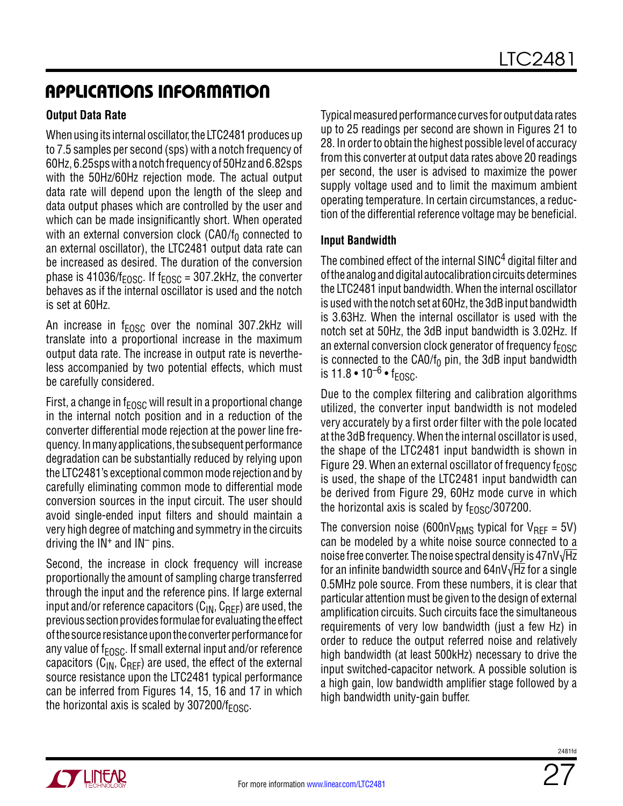#### **Output Data Rate**

When using its internal oscillator, the LTC2481 produces up to 7.5 samples per second (sps) with a notch frequency of 60Hz, 6.25sps with a notch frequency of 50Hz and 6.82sps with the 50Hz/60Hz rejection mode. The actual output data rate will depend upon the length of the sleep and data output phases which are controlled by the user and which can be made insignificantly short. When operated with an external conversion clock (CA0/ $f_0$  connected to an external oscillator), the LTC2481 output data rate can be increased as desired. The duration of the conversion phase is 41036/ $f_{EOSC}$ . If  $f_{EOSC}$  = 307.2kHz, the converter behaves as if the internal oscillator is used and the notch is set at 60Hz.

An increase in  $f_{EOSC}$  over the nominal 307.2kHz will translate into a proportional increase in the maximum output data rate. The increase in output rate is nevertheless accompanied by two potential effects, which must be carefully considered.

First, a change in  $f_{FOSC}$  will result in a proportional change in the internal notch position and in a reduction of the converter differential mode rejection at the power line frequency. In many applications, the subsequent performance degradation can be substantially reduced by relying upon the LTC2481's exceptional common mode rejection and by carefully eliminating common mode to differential mode conversion sources in the input circuit. The user should avoid single-ended input filters and should maintain a very high degree of matching and symmetry in the circuits driving the  $IN<sup>+</sup>$  and  $IN<sup>-</sup>$  pins.

Second, the increase in clock frequency will increase proportionally the amount of sampling charge transferred through the input and the reference pins. If large external input and/or reference capacitors  $(C_{IN}, C_{RFF})$  are used, the previous section provides formulae for evaluating the effect of the source resistance upon the converter performance for any value of  $f_{FOSC}$ . If small external input and/or reference capacitors ( $C_{IN}$ ,  $C_{RFF}$ ) are used, the effect of the external source resistance upon the LTC2481 typical performance can be inferred from Figures 14, 15, 16 and 17 in which the horizontal axis is scaled by  $307200/f_{FDSC}$ .

Typical measured performance curves for output data rates up to 25 readings per second are shown in Figures 21 to 28. In order to obtain the highest possible level of accuracy from this converter at output data rates above 20 readings per second, the user is advised to maximize the power supply voltage used and to limit the maximum ambient operating temperature. In certain circumstances, a reduction of the differential reference voltage may be beneficial.

#### **Input Bandwidth**

The combined effect of the internal SINC<sup>4</sup> digital filter and of the analog and digital autocalibration circuits determines the LTC2481 input bandwidth. When the internal oscillator is used with the notch set at 60Hz, the 3dB input bandwidth is 3.63Hz. When the internal oscillator is used with the notch set at 50Hz, the 3dB input bandwidth is 3.02Hz. If an external conversion clock generator of frequency  $f_{EOSC}$ is connected to the  $CAO/f<sub>0</sub>$  pin, the 3dB input bandwidth is  $11.8 \cdot 10^{-6} \cdot f_{FOSC}$ .

Due to the complex filtering and calibration algorithms utilized, the converter input bandwidth is not modeled very accurately by a first order filter with the pole located at the 3dB frequency. When the internal oscillator is used, the shape of the LTC2481 input bandwidth is shown in Figure 29. When an external oscillator of frequency  $f_{\text{FOSC}}$ is used, the shape of the LTC2481 input bandwidth can be derived from Figure 29, 60Hz mode curve in which the horizontal axis is scaled by  $f_{FOSC}/307200$ .

The conversion noise (600nV<sub>RMS</sub> typical for V<sub>RFF</sub> = 5V) can be modeled by a white noise source connected to a noise free converter. The noise spectral density is 47nV√Hz for an infinite bandwidth source and 64nV√Hz for a single 0.5MHz pole source. From these numbers, it is clear that particular attention must be given to the design of external amplification circuits. Such circuits face the simultaneous requirements of very low bandwidth (just a few Hz) in order to reduce the output referred noise and relatively high bandwidth (at least 500kHz) necessary to drive the input switched-capacitor network. A possible solution is a high gain, low bandwidth amplifier stage followed by a high bandwidth unity-gain buffer.



2481fr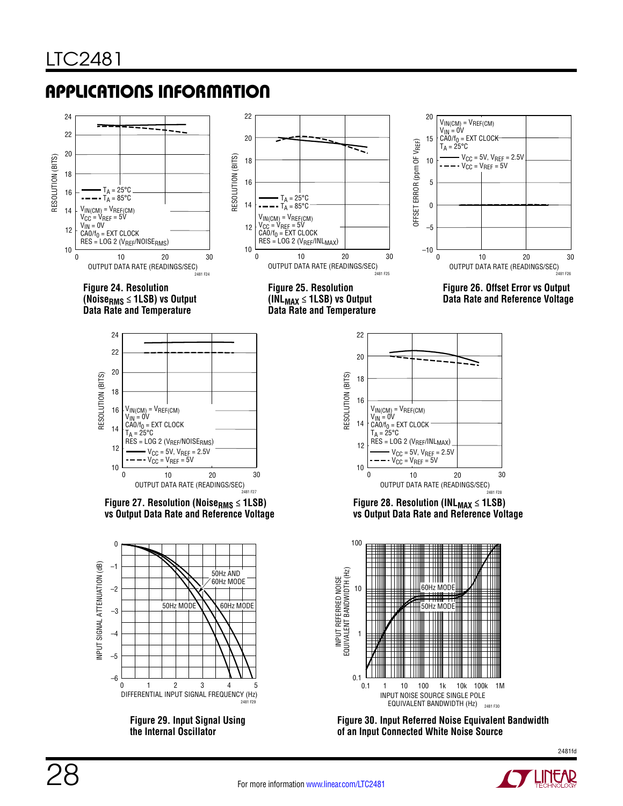

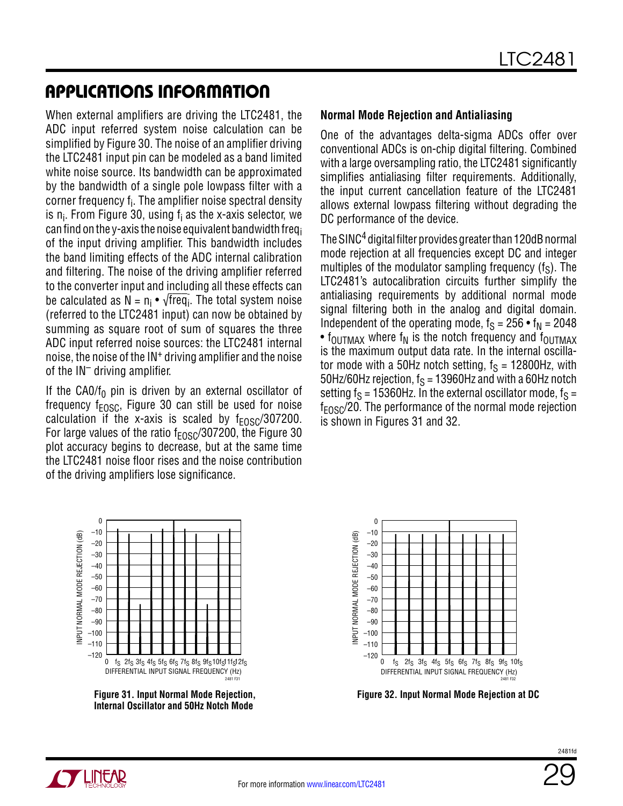When external amplifiers are driving the LTC2481, the ADC input referred system noise calculation can be simplified by Figure 30. The noise of an amplifier driving the LTC2481 input pin can be modeled as a band limited white noise source. Its bandwidth can be approximated by the bandwidth of a single pole lowpass filter with a corner frequency f<sub>i</sub>. The amplifier noise spectral density is n<sub>i</sub>. From Figure 30, using f<sub>i</sub> as the x-axis selector, we can find on the y-axis the noise equivalent bandwidth freqi of the input driving amplifier. This bandwidth includes the band limiting effects of the ADC internal calibration and filtering. The noise of the driving amplifier referred to the converter input and including all these effects can be calculated as N =  $n_i \bullet \sqrt{f}$ req $_i$ . The total system noise (referred to the LTC2481 input) can now be obtained by summing as square root of sum of squares the three ADC input referred noise sources: the LTC2481 internal noise, the noise of the IN+ driving amplifier and the noise of the  $IN^-$  driving amplifier.

If the CA0/ $f_0$  pin is driven by an external oscillator of frequency  $f_{EOSC}$ , Figure 30 can still be used for noise calculation if the x-axis is scaled by  $f_{EOSC}/307200$ . For large values of the ratio  $f_{FOSC}/307200$ , the Figure 30 plot accuracy begins to decrease, but at the same time the LTC2481 noise floor rises and the noise contribution of the driving amplifiers lose significance.

#### **Normal Mode Rejection and Antialiasing**

One of the advantages delta-sigma ADCs offer over conventional ADCs is on-chip digital filtering. Combined with a large oversampling ratio, the LTC2481 significantly simplifies antialiasing filter requirements. Additionally, the input current cancellation feature of the LTC2481 allows external lowpass filtering without degrading the DC performance of the device.

The SINC4 digital filter provides greater than 120dB normal mode rejection at all frequencies except DC and integer multiples of the modulator sampling frequency  $(f_S)$ . The LTC2481's autocalibration circuits further simplify the antialiasing requirements by additional normal mode signal filtering both in the analog and digital domain. Independent of the operating mode,  $f_S = 256 \cdot f_N = 2048$ •  $f_{\text{OUTMAX}}$  where  $f_N$  is the notch frequency and  $f_{\text{OUTMAX}}$ is the maximum output data rate. In the internal oscillator mode with a 50Hz notch setting,  $f_S = 12800$ Hz, with 50Hz/60Hz rejection,  $f_S = 13960$ Hz and with a 60Hz notch setting  $f_S = 15360$ Hz. In the external oscillator mode,  $f_S =$  $f_{FOSC}/20$ . The performance of the normal mode rejection is shown in Figures 31 and 32.



**Figure 31. Input Normal Mode Rejection, Internal Oscillator and 50Hz Notch Mode**



**Figure 32. Input Normal Mode Rejection at DC**

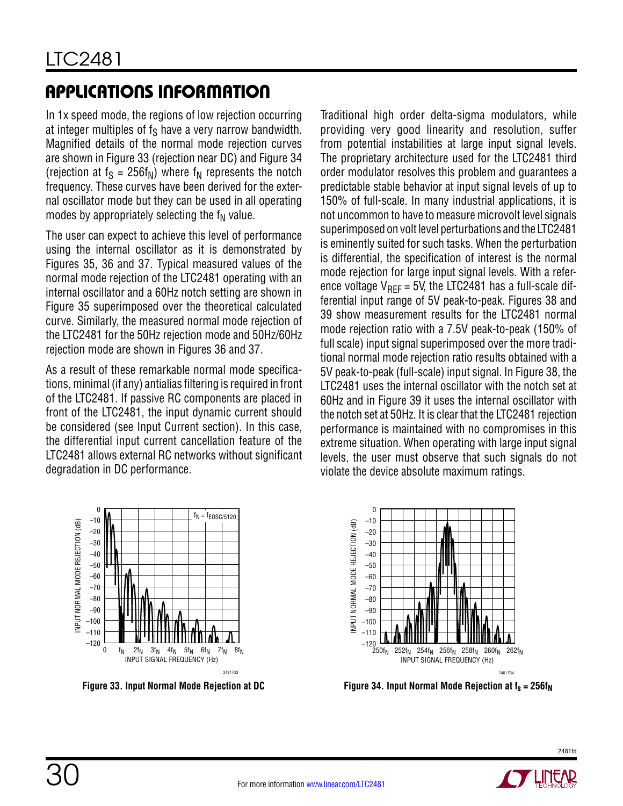In 1x speed mode, the regions of low rejection occurring at integer multiples of  $f_S$  have a very narrow bandwidth. Magnified details of the normal mode rejection curves are shown in Figure 33 (rejection near DC) and Figure 34 (rejection at  $f_S = 256f_N$ ) where  $f_N$  represents the notch frequency. These curves have been derived for the external oscillator mode but they can be used in all operating modes by appropriately selecting the  $f_N$  value.

The user can expect to achieve this level of performance using the internal oscillator as it is demonstrated by Figures 35, 36 and 37. Typical measured values of the normal mode rejection of the LTC2481 operating with an internal oscillator and a 60Hz notch setting are shown in Figure 35 superimposed over the theoretical calculated curve. Similarly, the measured normal mode rejection of the LTC2481 for the 50Hz rejection mode and 50Hz/60Hz rejection mode are shown in Figures 36 and 37.

As a result of these remarkable normal mode specifications, minimal (if any) antialias filtering is required in front of the LTC2481. If passive RC components are placed in front of the LTC2481, the input dynamic current should be considered (see Input Current section). In this case, the differential input current cancellation feature of the LTC2481 allows external RC networks without significant degradation in DC performance.

Traditional high order delta-sigma modulators, while providing very good linearity and resolution, suffer from potential instabilities at large input signal levels. The proprietary architecture used for the LTC2481 third order modulator resolves this problem and guarantees a predictable stable behavior at input signal levels of up to 150% of full-scale. In many industrial applications, it is not uncommon to have to measure microvolt level signals superimposed on volt level perturbations and the LTC2481 is eminently suited for such tasks. When the perturbation is differential, the specification of interest is the normal mode rejection for large input signal levels. With a reference voltage  $V_{\text{RFF}}$  = 5V, the LTC2481 has a full-scale differential input range of 5V peak-to-peak. Figures 38 and 39 show measurement results for the LTC2481 normal mode rejection ratio with a 7.5V peak-to-peak (150% of full scale) input signal superimposed over the more traditional normal mode rejection ratio results obtained with a 5V peak-to-peak (full-scale) input signal. In Figure 38, the LTC2481 uses the internal oscillator with the notch set at 60Hz and in Figure 39 it uses the internal oscillator with the notch set at 50Hz. It is clear that the LTC2481 rejection performance is maintained with no compromises in this extreme situation. When operating with large input signal levels, the user must observe that such signals do not violate the device absolute maximum ratings.





**Figure 33. Input Normal Mode Rejection at DC Figure 34. Input Normal Mode Rejection at f<sub>s</sub> = 256f<sub>N</sub>**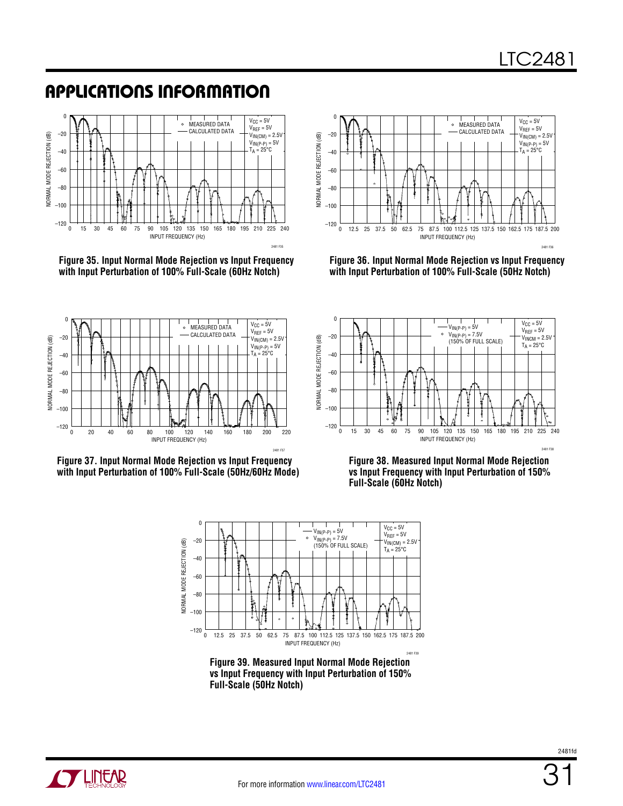





**Figure 36. Input Normal Mode Rejection vs Input Frequency with Input Perturbation of 100% Full-Scale (50Hz Notch)**







**Figure 38. Measured Input Normal Mode Rejection vs Input Frequency with Input Perturbation of 150% Full-Scale (60Hz Notch)**



**Figure 39. Measured Input Normal Mode Rejection vs Input Frequency with Input Perturbation of 150% Full-Scale (50Hz Notch)**

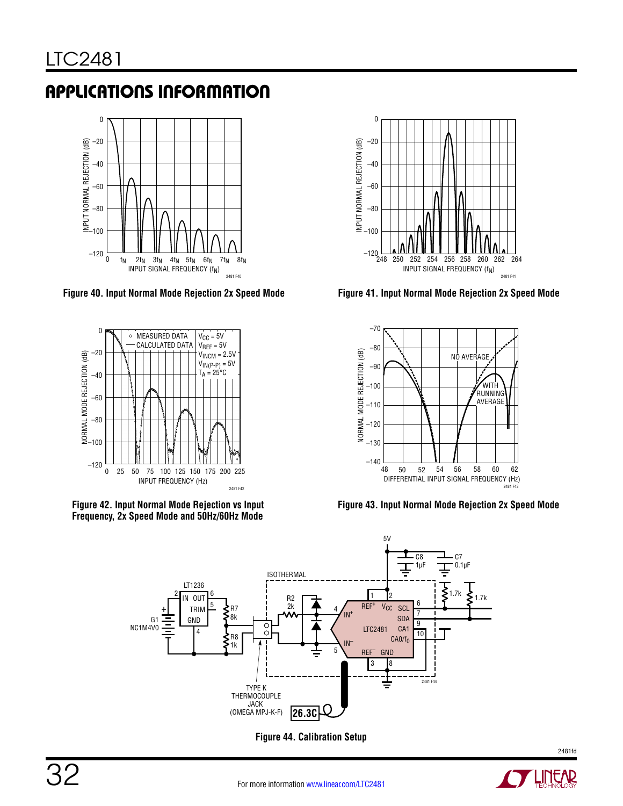

**Figure 40. Input Normal Mode Rejection 2x Speed Mode Figure 41. Input Normal Mode Rejection 2x Speed Mode**









**Figure 43. Input Normal Mode Rejection 2x Speed Mode**



**Figure 44. Calibration Setup**

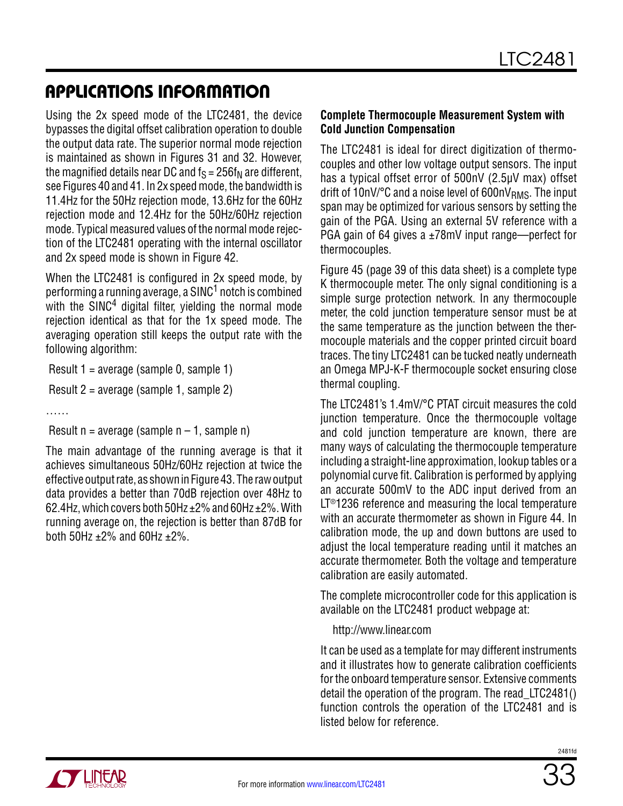Using the 2x speed mode of the LTC2481, the device bypasses the digital offset calibration operation to double the output data rate. The superior normal mode rejection is maintained as shown in Figures 31 and 32. However, the magnified details near DC and  $f_S = 256f_N$  are different, see Figures 40 and 41. In 2x speed mode, the bandwidth is 11.4Hz for the 50Hz rejection mode, 13.6Hz for the 60Hz rejection mode and 12.4Hz for the 50Hz/60Hz rejection mode. Typical measured values of the normal mode rejection of the LTC2481 operating with the internal oscillator and 2x speed mode is shown in Figure 42.

When the LTC2481 is configured in 2x speed mode, by performing a running average, a SINC<sup>1</sup> notch is combined with the  $SINC<sup>4</sup>$  digital filter, yielding the normal mode rejection identical as that for the 1x speed mode. The averaging operation still keeps the output rate with the following algorithm:

Result 1 = average (sample 0, sample 1)

Result 2 = average (sample 1, sample 2)

……

Result  $n = average$  (sample  $n - 1$ , sample n)

The main advantage of the running average is that it achieves simultaneous 50Hz/60Hz rejection at twice the effective output rate, as shown in Figure 43. The raw output data provides a better than 70dB rejection over 48Hz to 62.4Hz, which covers both 50Hz  $\pm$ 2% and 60Hz  $\pm$ 2%. With running average on, the rejection is better than 87dB for both 50Hz  $\pm 2\%$  and 60Hz  $\pm 2\%$ .

#### **Complete Thermocouple Measurement System with Cold Junction Compensation**

The LTC2481 is ideal for direct digitization of thermocouples and other low voltage output sensors. The input has a typical offset error of 500nV (2.5µV max) offset drift of 10nV/ $\degree$ C and a noise level of 600nV<sub>RMS</sub>. The input span may be optimized for various sensors by setting the gain of the PGA. Using an external 5V reference with a PGA gain of 64 gives a ±78mV input range—perfect for thermocouples.

Figure 45 (page 39 of this data sheet) is a complete type K thermocouple meter. The only signal conditioning is a simple surge protection network. In any thermocouple meter, the cold junction temperature sensor must be at the same temperature as the junction between the thermocouple materials and the copper printed circuit board traces. The tiny LTC2481 can be tucked neatly underneath an Omega MPJ-K-F thermocouple socket ensuring close thermal coupling.

The LTC2481's 1.4mV/°C PTAT circuit measures the cold junction temperature. Once the thermocouple voltage and cold junction temperature are known, there are many ways of calculating the thermocouple temperature including a straight-line approximation, lookup tables or a polynomial curve fit. Calibration is performed by applying an accurate 500mV to the ADC input derived from an LT<sup>®</sup>1236 reference and measuring the local temperature with an accurate thermometer as shown in Figure 44. In calibration mode, the up and down buttons are used to adjust the local temperature reading until it matches an accurate thermometer. Both the voltage and temperature calibration are easily automated.

The complete microcontroller code for this application is available on the LTC2481 product webpage at:

http://www.linear.com

It can be used as a template for may different instruments and it illustrates how to generate calibration coefficients for the onboard temperature sensor. Extensive comments detail the operation of the program. The read\_LTC2481() function controls the operation of the LTC2481 and is listed below for reference.

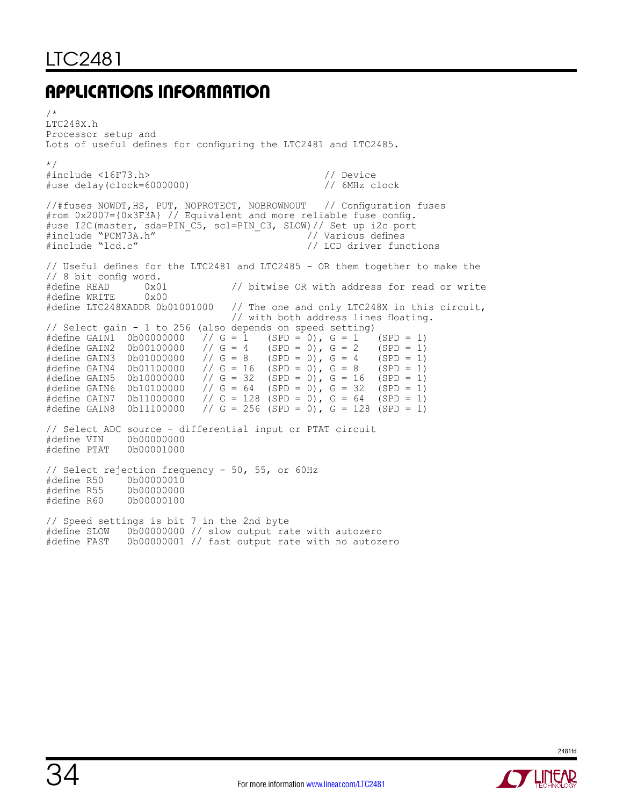/\* LTC248X.h Processor setup and Lots of useful defines for configuring the LTC2481 and LTC2485. \*/ #include <16F73.h> // Device #use  $delay$  (clock=6000000) //#fuses NOWDT,HS, PUT, NOPROTECT, NOBROWNOUT // Configuration fuses #rom 0x2007={0x3F3A} // Equivalent and more reliable fuse config. #use I2C(master, sda=PIN\_C5, scl=PIN\_C3, SLOW)// Set up i2c port #include "PCM73A.h" // Various defines #include "PCM73A.h" - - - - - - - - // Various defines<br>#include "lcd.c" - - - - - - - - - - - - - // LCD driver functions // Useful defines for the LTC2481 and LTC2485 - OR them together to make the // 8 bit config word.  $0x01$  // bitwise OR with address for read or write  $0x00$ #define WRITE 0x00<br>#define LTC248XADDR 0b01001000 // The one and only LTC248X in this circuit, // with both address lines floating. // Select gain - 1 to 256 (also depends on speed setting)<br>#define GAIN1 0b00000000 // G = 1 (SPD = 0), G = 1 (SPD = 1)<br>#define GAIN2 0b00100000 // G = 4 (SPD = 0), G = 2 (SPD = 1) #define GAIN1 0b00000000 // G = 1 (SPD = 0), G = 1 (SPD = 1)<br>#define GAIN2 0b00100000 // G = 4 (SPD = 0), G = 2 (SPD = 1)  $\frac{1}{16}$  G = 4 (SPD = 0), G = 2 (SPD = 1)<br> $\frac{1}{16}$  G = 8 (SPD = 0), G = 4 (SPD = 1) #define GAIN3 0b01000000 // G = 8 (SPD = 0), G = 4 (SPD = 1)<br>#define GAIN4 0b01100000 // G = 16 (SPD = 0), G = 8 (SPD = 1) #define GAIN4 0b01100000 // G = 16 (SPD = 0), G = 8<br>#define GAIN5 0b10000000 // G = 32 (SPD = 0), G = 16 #define GAIN5 0b10000000 // G = 32 (SPD = 0), G = 16 (SPD = 1)<br>#define GAIN6 0b10100000 // G = 64 (SPD = 0), G = 32 (SPD = 1) #define GAIN6 0b10100000 // G = 64 (SPD = 0), G = 32 (SPD = 1)<br>#define GAIN7 0b11000000 // G = 128 (SPD = 0), G = 64 (SPD = 1) #define GAIN7 0b11000000 // G = 128 (SPD = 0), G = 64 (SPD = 1)<br>#define GAIN8 0b11100000 // G = 256 (SPD = 0), G = 128 (SPD = 1)  $1/6 = 256$  (SPD = 0), G = 128 (SPD = 1) // Select ADC source - differential input or PTAT circuit #define VIN<br>#define PTAT 0b00001000 // Select rejection frequency - 50, 55, or 60Hz #define R50 0b00000010 #define R55<br>#define R60 0b00000100 // Speed settings is bit 7 in the 2nd byte #define SLOW 0b00000000 // slow output rate with autozero #define FAST 0b00000001 // fast output rate with no autozero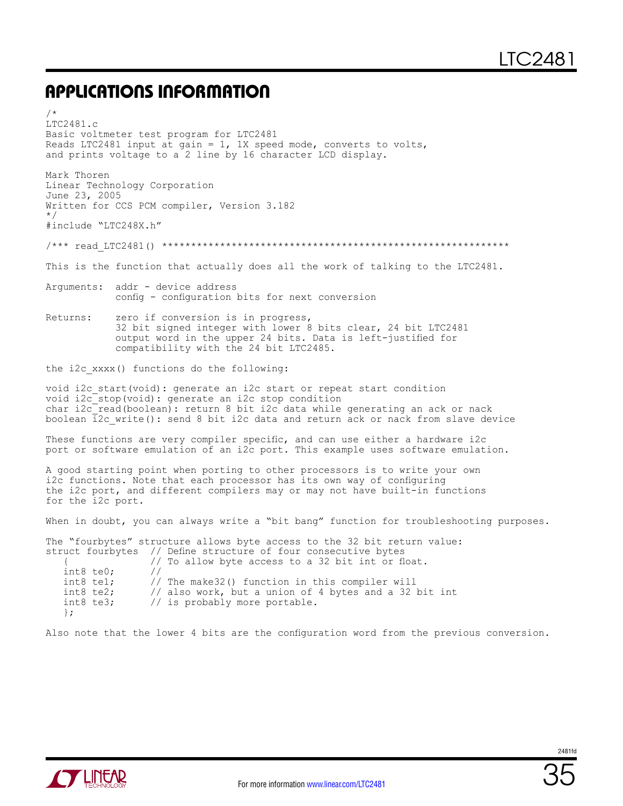/\*

LTC2481.c Basic voltmeter test program for LTC2481 Reads LTC2481 input at gain =  $1$ , 1X speed mode, converts to volts, and prints voltage to a 2 line by 16 character LCD display. Mark Thoren Linear Technology Corporation June 23, 2005 Written for CCS PCM compiler, Version 3.182 \*/ #include "LTC248X.h" /\*\*\* read\_LTC2481() \*\*\*\*\*\*\*\*\*\*\*\*\*\*\*\*\*\*\*\*\*\*\*\*\*\*\*\*\*\*\*\*\*\*\*\*\*\*\*\*\*\*\*\*\*\*\*\*\*\*\*\*\*\*\*\*\*\*\*\* This is the function that actually does all the work of talking to the LTC2481. Arguments: addr - device address config - configuration bits for next conversion Returns: zero if conversion is in progress, 32 bit signed integer with lower 8 bits clear, 24 bit LTC2481 output word in the upper 24 bits. Data is left-justified for compatibility with the 24 bit LTC2485. the i2c\_xxxx() functions do the following: void i2c\_start(void): generate an i2c start or repeat start condition void i2c\_stop(void): generate an i2c stop condition char i2c<sup>-</sup>read(boolean): return 8 bit i2c data while generating an ack or nack boolean 12c write(): send 8 bit i2c data and return ack or nack from slave device These functions are very compiler specific, and can use either a hardware i2c port or software emulation of an i2c port. This example uses software emulation. A good starting point when porting to other processors is to write your own i2c functions. Note that each processor has its own way of configuring the i2c port, and different compilers may or may not have built-in functions for the i2c port. When in doubt, you can always write a "bit bang" function for troubleshooting purposes. The "fourbytes" structure allows byte access to the 32 bit return value: struct fourbytes // Define structure of four consecutive bytes { $\frac{1}{100}$  // To allow byte access to a 32 bit int or float. int8 te0;<br>int8 te1; int8 te1; // The make32() function in this compiler will<br>int8 te2; // also work, but a union of 4 bytes and a 32 int8 te2;  $\frac{1}{10}$  also work, but a union of 4 bytes and a 32 bit int int int8 te3;  $\frac{1}{10}$  is probably more portable. // is probably more portable. };

Also note that the lower 4 bits are the configuration word from the previous conversion.

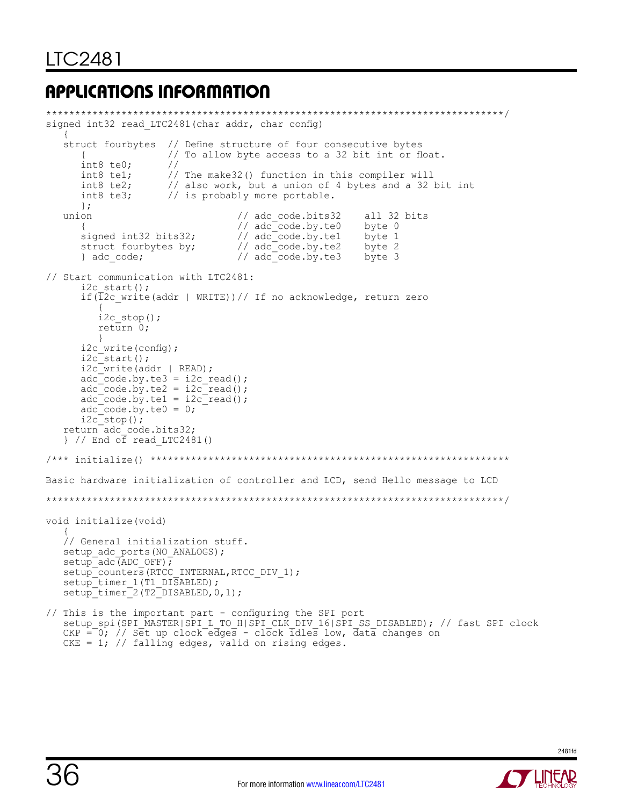```
*******************************************************************************/
signed int32 read LTC2481(char addr, char config)
   {<br>struct fourbytes
 struct fourbytes // Define structure of four consecutive bytes
 { // To allow byte access to a 32 bit int or float.
      int8 te0; \frac{1}{1} //<br>int8 te1; \frac{1}{1}int8 te1; \frac{1}{2} // The make32() function in this compiler will<br>int8 te2; \frac{1}{2} also work, but a union of 4 bytes and a 32
      int8 te2; \frac{1}{10} also work, but a union of 4 bytes and a 32 bit int int8 te3; \frac{1}{10} is probably more portable.
                       // is probably more portable.
   ;{<br>union
                                      // adc_code.bits32 all 32 bits<br>// adc<sup>-</sup>code.by.te0 byte 0
      {<br>signed int32 bits32; <br>// adc code.by.te1 byte 1
 signed int32 bits32; // adc_code.by.te1 byte 1
 struct fourbytes by; // adc_code.by.te2 byte 2
 } adc_code; // adc_code.by.te3 byte 3
// Start communication with LTC2481:
      i2c start();
       if(i2c_write(addr | WRITE))// If no acknowledge, return zero
{
          i2c stop();
           return 0;
 }
      i2c_write(config);
      i2c<sup>-</sup>start();
      i2c write(addr | READ);
      \text{adc}^- \text{code}.\text{by}.\text{te3} = \text{i2c} \text{read}adc code.by.te2 = i2c read();
      adc code.by.te1 = i2c read();
      \text{adc} code.by.te0 = 0;
      i2c<sup>-</sup>stop();
 return adc_code.bits32;
 } // End of read_LTC2481()
/*** initialize() **************************************************************
Basic hardware initialization of controller and LCD, send Hello message to LCD
*******************************************************************************/
void initialize(void)
\frac{1}{2} // General initialization stuff.
   setup_adc_ports(NO_ANALOGS);
   setup<sup>-adc</sub>(ADC_OFF);</sup>
   setup<sup>_</sup>counters(RTCC_INTERNAL, RTCC_DIV_1);
   setup_timer_1(T1_DISABLED);
   setup<sup>-</sup>timer<sup>-2</sup>(T2<sup>-DISABLED, 0, 1);</sup>
// This is the important part - configuring the SPI port
 setup_spi(SPI_MASTER|SPI_L_TO_H|SPI_CLK_DIV_16|SPI_SS_DISABLED); // fast SPI clock
   CKP = 0; // Set up clock edges - clock idles low, data changes on
```
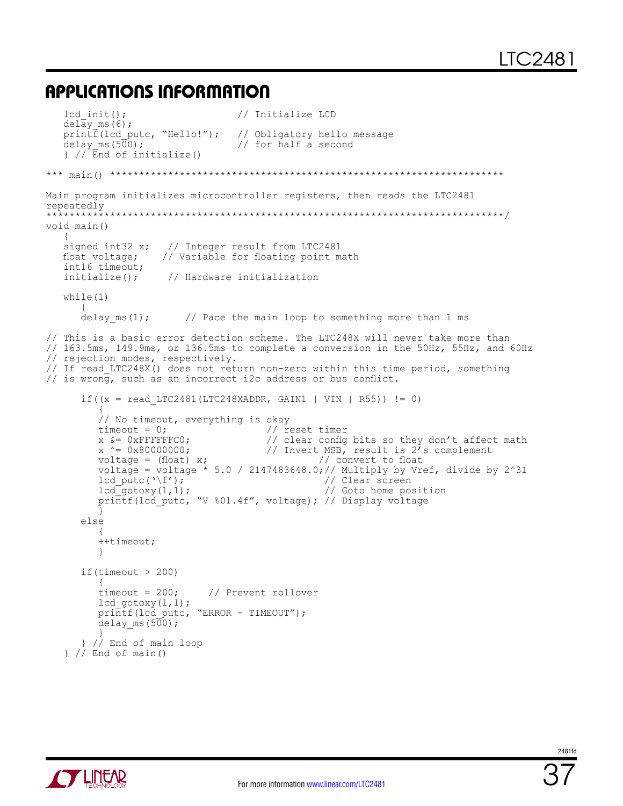```
lcd init(); \frac{1}{\sqrt{2}} // Initialize LCD
   delay_ms(6);<br>printf(lcd putc, "Hello!");
   print \overline{f}(lcd putc, "Hello!"); // Obligatory hello message delay_ms(500); // for half a second
                                   // for half a second
    } // End of initialize()
*** main() ********************************************************************
Main program initializes microcontroller registers, then reads the LTC2481
repeatedly
           *******************************************************************************/
void main()
\left\{\begin{array}{c} \end{array}\right\} signed int32 x; // Integer result from LTC2481
   float voltage; // Variable for floating point math
   int16 timeout;<br>initialize();
                     // Hardware initialization
    while(1)
      {<br>delay ms(1);
                         // Pace the main loop to something more than 1 ms
// This is a basic error detection scheme. The LTC248X will never take more than
// 163.5ms, 149.9ms, or 136.5ms to complete a conversion in the 50Hz, 55Hz, and 60Hz
// rejection modes, respectively.
// If read LTC248X() does not return non-zero within this time period, something
// is wrong, such as an incorrect i2c address or bus conflict.
      if((x = read LTC2481(LTC248XADDR, GAIN1 | VIN | R55)) != 0)
\left\{ \begin{array}{ccc} 1 & 1 & 1 \\ 1 & 1 & 1 \end{array} \right.// No timeout, everything is okay<br>timeout = 0; // r
timeout = 0; \frac{1}{2} reset timer
 x &= 0xFFFFFFC0; // clear config bits so they don't affect math
         x ^{\wedge} = 0x80000000;<br>voltage = (float) x;<br>// Invert MSB, result is 2^7 s complement<br>// convert to float
voltage = (float) x; \frac{1}{2} // convert to float
 voltage = voltage * 5.0 / 2147483648.0;// Multiply by Vref, divide by 2^31
         lcd_putc('\f');<br>
lcd_gotoxy(1,1);<br>
// Goto home position
 lcd_gotoxy(1,1); // Goto home position
 printf(lcd_putc, "V %01.4f", voltage); // Display voltage
 }
       else
\{ ++timeout;
 }
       if(timeout > 200)
\{ timeout = 200; // Prevent rollover
         lcd \text{gotoxy}(1,1);printf(lcd putc, "ERROR - TIMEOUT");
         delay ms (500);
\{ \} } // End of main loop
    } // End of main()
```
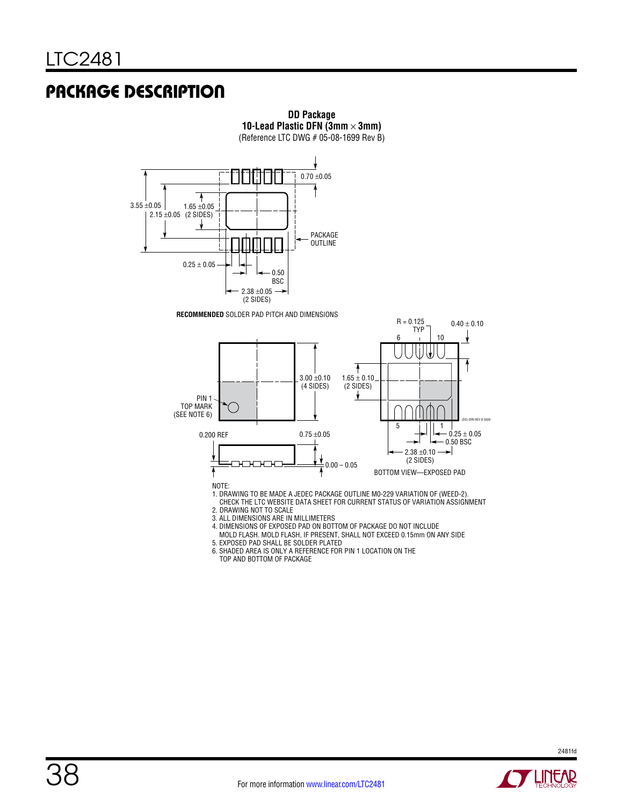### Package Description



**DD Package**

3. ALL DIMENSIONS ARE IN MILLIMETERS

4. DIMENSIONS OF EXPOSED PAD ON BOTTOM OF PACKAGE DO NOT INCLUDE

 MOLD FLASH. MOLD FLASH, IF PRESENT, SHALL NOT EXCEED 0.15mm ON ANY SIDE 5. EXPOSED PAD SHALL BE SOLDER PLATED 6. SHADED AREA IS ONLY A REFERENCE FOR PIN 1 LOCATION ON THE

TOP AND BOTTOM OF PACKAGE

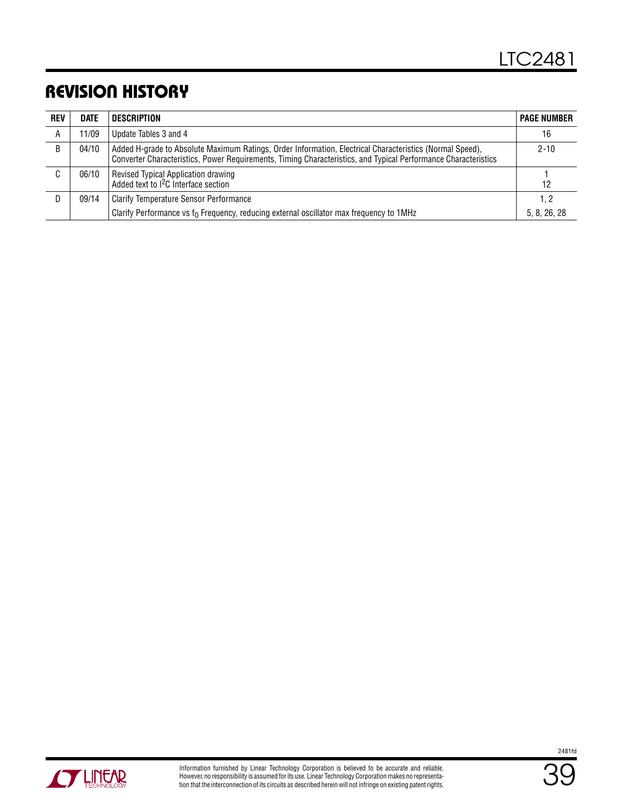### Revision History

| <b>REV</b> | <b>DATE</b> | <b>DESCRIPTION</b>                                                                                                                                                                                                         | <b>PAGE NUMBER</b> |
|------------|-------------|----------------------------------------------------------------------------------------------------------------------------------------------------------------------------------------------------------------------------|--------------------|
| A          | 11/09       | Update Tables 3 and 4                                                                                                                                                                                                      | 16                 |
| B          | 04/10       | Added H-grade to Absolute Maximum Ratings, Order Information, Electrical Characteristics (Normal Speed),<br>Converter Characteristics, Power Requirements, Timing Characteristics, and Typical Performance Characteristics | $2 - 10$           |
| C          | 06/10       | Revised Typical Application drawing<br>Added text to <sup>2</sup> C Interface section                                                                                                                                      | 12                 |
|            | 09/14       | <b>Clarify Temperature Sensor Performance</b>                                                                                                                                                                              | 1, 2               |
|            |             | Clarify Performance vs $f_0$ Frequency, reducing external oscillator max frequency to 1MHz                                                                                                                                 | 5, 8, 26, 28       |